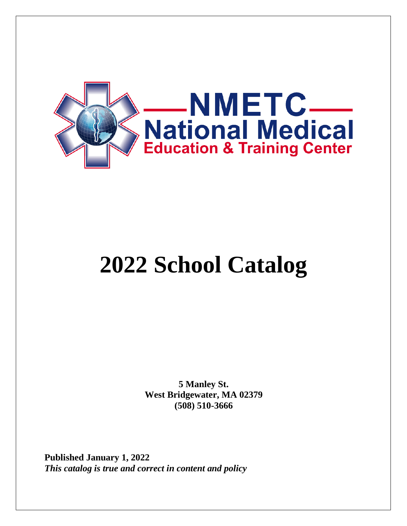

# **2022 School Catalog**

**5 Manley St. West Bridgewater, MA 02379 (508) 510-3666**

**Published January 1, 2022** *This catalog is true and correct in content and policy*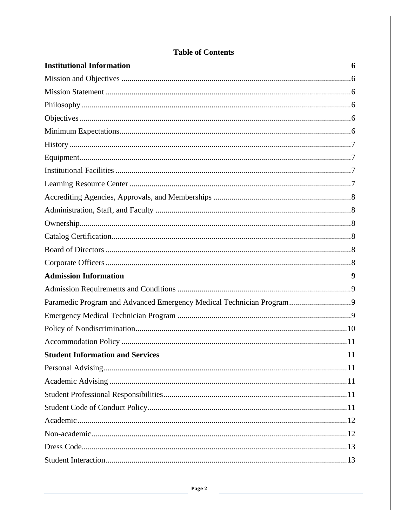| <b>Institutional Information</b>                                     | 6 |
|----------------------------------------------------------------------|---|
|                                                                      |   |
|                                                                      |   |
|                                                                      |   |
|                                                                      |   |
|                                                                      |   |
|                                                                      |   |
|                                                                      |   |
|                                                                      |   |
|                                                                      |   |
|                                                                      |   |
|                                                                      |   |
|                                                                      |   |
|                                                                      |   |
|                                                                      |   |
|                                                                      |   |
| <b>Admission Information</b>                                         | 9 |
|                                                                      |   |
| Paramedic Program and Advanced Emergency Medical Technician Program9 |   |
|                                                                      |   |
|                                                                      |   |
|                                                                      |   |
| <b>Student Information and Services</b><br>11                        |   |
|                                                                      |   |
|                                                                      |   |
|                                                                      |   |
|                                                                      |   |
|                                                                      |   |
|                                                                      |   |
|                                                                      |   |
|                                                                      |   |

# **Table of Contents**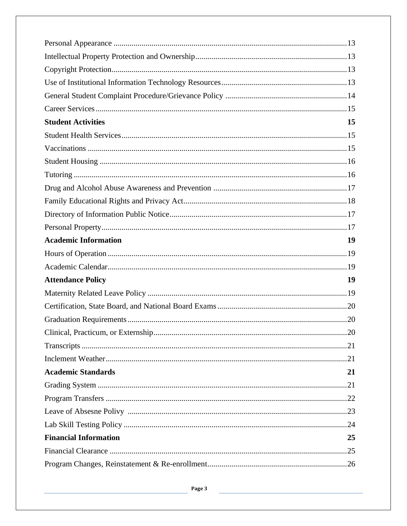| <b>Student Activities</b>    | 15 |
|------------------------------|----|
|                              |    |
|                              |    |
|                              |    |
|                              |    |
|                              |    |
|                              |    |
|                              |    |
|                              |    |
| <b>Academic Information</b>  | 19 |
|                              |    |
|                              |    |
| <b>Attendance Policy</b>     | 19 |
|                              |    |
|                              |    |
|                              |    |
| 20                           |    |
|                              |    |
|                              |    |
| <b>Academic Standards</b>    | 21 |
|                              |    |
|                              |    |
|                              |    |
|                              |    |
| <b>Financial Information</b> | 25 |
|                              |    |
|                              |    |

Page 3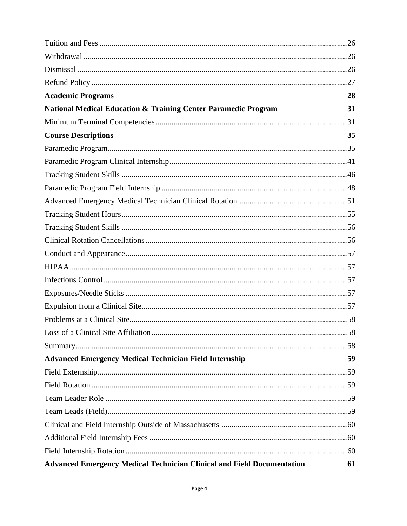| <b>Academic Programs</b>                                                      | 28 |
|-------------------------------------------------------------------------------|----|
| <b>National Medical Education &amp; Training Center Paramedic Program</b>     | 31 |
|                                                                               |    |
| <b>Course Descriptions</b>                                                    | 35 |
|                                                                               |    |
|                                                                               |    |
|                                                                               |    |
|                                                                               |    |
|                                                                               |    |
|                                                                               |    |
|                                                                               |    |
|                                                                               |    |
|                                                                               |    |
|                                                                               |    |
|                                                                               |    |
|                                                                               |    |
|                                                                               |    |
|                                                                               |    |
|                                                                               |    |
|                                                                               |    |
| <b>Advanced Emergency Medical Technician Field Internship</b>                 | 59 |
|                                                                               |    |
|                                                                               |    |
|                                                                               |    |
|                                                                               |    |
|                                                                               |    |
|                                                                               |    |
|                                                                               |    |
| <b>Advanced Emergency Medical Technician Clinical and Field Documentation</b> | 61 |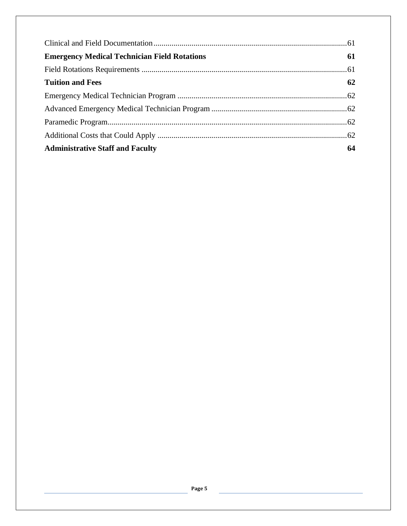| <b>Emergency Medical Technician Field Rotations</b> | 61 |
|-----------------------------------------------------|----|
|                                                     |    |
| <b>Tuition and Fees</b>                             | 62 |
|                                                     |    |
|                                                     |    |
|                                                     |    |
|                                                     |    |
| <b>Administrative Staff and Faculty</b>             | 64 |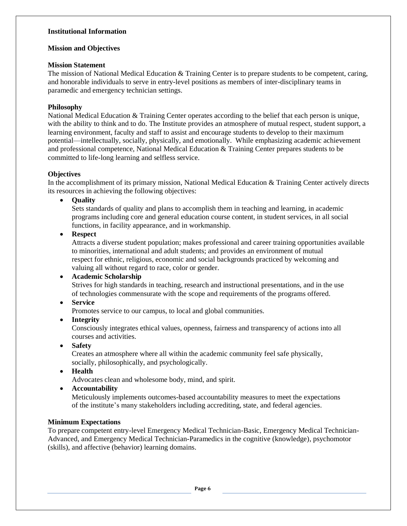#### **Institutional Information**

#### **Mission and Objectives**

#### **Mission Statement**

The mission of National Medical Education & Training Center is to prepare students to be competent, caring, and honorable individuals to serve in entry-level positions as members of inter-disciplinary teams in paramedic and emergency technician settings.

#### **Philosophy**

National Medical Education & Training Center operates according to the belief that each person is unique, with the ability to think and to do. The Institute provides an atmosphere of mutual respect, student support, a learning environment, faculty and staff to assist and encourage students to develop to their maximum potential—intellectually, socially, physically, and emotionally. While emphasizing academic achievement and professional competence, National Medical Education & Training Center prepares students to be committed to life-long learning and selfless service.

#### **Objectives**

In the accomplishment of its primary mission, National Medical Education & Training Center actively directs its resources in achieving the following objectives:

• **Quality**

Sets standards of quality and plans to accomplish them in teaching and learning, in academic programs including core and general education course content, in student services, in all social functions, in facility appearance, and in workmanship.

• **Respect**

Attracts a diverse student population; makes professional and career training opportunities available to minorities, international and adult students; and provides an environment of mutual respect for ethnic, religious, economic and social backgrounds practiced by welcoming and valuing all without regard to race, color or gender.

#### • **Academic Scholarship**

Strives for high standards in teaching, research and instructional presentations, and in the use of technologies commensurate with the scope and requirements of the programs offered.

• **Service**

Promotes service to our campus, to local and global communities.

• **Integrity**

Consciously integrates ethical values, openness, fairness and transparency of actions into all courses and activities.

• **Safety**

Creates an atmosphere where all within the academic community feel safe physically, socially, philosophically, and psychologically.

• **Health**

Advocates clean and wholesome body, mind, and spirit.

• **Accountability**

Meticulously implements outcomes-based accountability measures to meet the expectations of the institute's many stakeholders including accrediting, state, and federal agencies.

#### **Minimum Expectations**

To prepare competent entry-level Emergency Medical Technician-Basic, Emergency Medical Technician-Advanced, and Emergency Medical Technician-Paramedics in the cognitive (knowledge), psychomotor (skills), and affective (behavior) learning domains.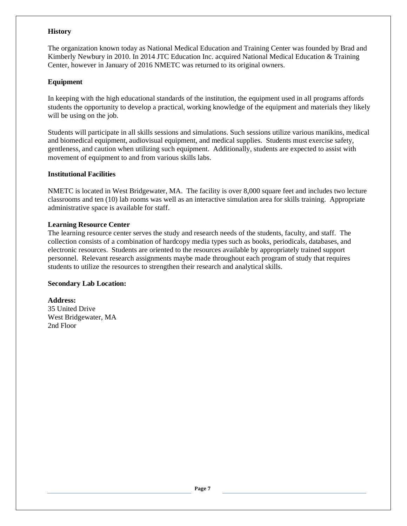#### **History**

The organization known today as National Medical Education and Training Center was founded by Brad and Kimberly Newbury in 2010. In 2014 JTC Education Inc. acquired National Medical Education & Training Center, however in January of 2016 NMETC was returned to its original owners.

#### **Equipment**

In keeping with the high educational standards of the institution, the equipment used in all programs affords students the opportunity to develop a practical, working knowledge of the equipment and materials they likely will be using on the job.

Students will participate in all skills sessions and simulations. Such sessions utilize various manikins, medical and biomedical equipment, audiovisual equipment, and medical supplies. Students must exercise safety, gentleness, and caution when utilizing such equipment. Additionally, students are expected to assist with movement of equipment to and from various skills labs.

#### **Institutional Facilities**

NMETC is located in West Bridgewater, MA. The facility is over 8,000 square feet and includes two lecture classrooms and ten (10) lab rooms was well as an interactive simulation area for skills training. Appropriate administrative space is available for staff.

#### **Learning Resource Center**

The learning resource center serves the study and research needs of the students, faculty, and staff. The collection consists of a combination of hardcopy media types such as books, periodicals, databases, and electronic resources. Students are oriented to the resources available by appropriately trained support personnel. Relevant research assignments maybe made throughout each program of study that requires students to utilize the resources to strengthen their research and analytical skills.

#### **Secondary Lab Location:**

**Address:** 35 United Drive West Bridgewater, MA 2nd Floor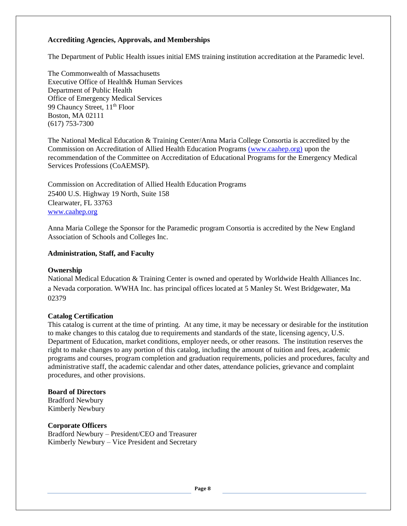#### **Accrediting Agencies, Approvals, and Memberships**

The Department of Public Health issues initial EMS training institution accreditation at the Paramedic level.

The Commonwealth of Massachusetts Executive Office of Health& Human Services Department of Public Health Office of Emergency Medical Services 99 Chauncy Street, 11<sup>th</sup> Floor Boston, MA 02111 (617) 753-7300

The National Medical Education & Training Center/Anna Maria College Consortia is accredited by the Commission on Accreditation of Allied Health Education Programs [\(www.caahep.org\)](http://www.caahep.org/) upon the recommendation of the Committee on Accreditation of Educational Programs for the Emergency Medical Services Professions (CoAEMSP).

Commission on Accreditation of Allied Health Education Programs 25400 U.S. Highway 19 North, Suite 158 Clearwater, FL 33763 [www.caahep.org](http://www.caahep.org/)

Anna Maria College the Sponsor for the Paramedic program Consortia is accredited by the New England Association of Schools and Colleges Inc.

#### **Administration, Staff, and Faculty**

#### **Ownership**

National Medical Education & Training Center is owned and operated by Worldwide Health Alliances Inc. a Nevada corporation. WWHA Inc. has principal offices located at 5 Manley St. West Bridgewater, Ma 02379

#### **Catalog Certification**

This catalog is current at the time of printing. At any time, it may be necessary or desirable for the institution to make changes to this catalog due to requirements and standards of the state, licensing agency, U.S. Department of Education, market conditions, employer needs, or other reasons. The institution reserves the right to make changes to any portion of this catalog, including the amount of tuition and fees, academic programs and courses, program completion and graduation requirements, policies and procedures, faculty and administrative staff, the academic calendar and other dates, attendance policies, grievance and complaint procedures, and other provisions.

#### **Board of Directors**

Bradford Newbury Kimberly Newbury

#### **Corporate Officers**

Bradford Newbury – President/CEO and Treasurer Kimberly Newbury – Vice President and Secretary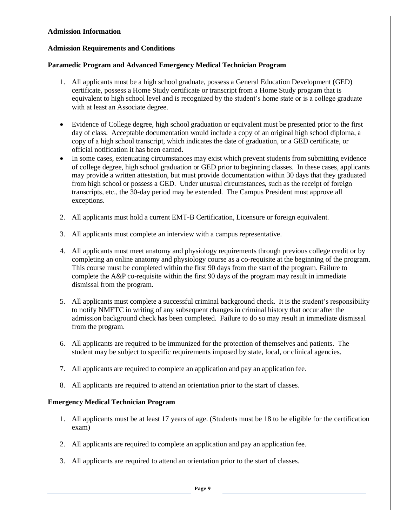#### **Admission Information**

#### **Admission Requirements and Conditions**

#### **Paramedic Program and Advanced Emergency Medical Technician Program**

- 1. All applicants must be a high school graduate, possess a General Education Development (GED) certificate, possess a Home Study certificate or transcript from a Home Study program that is equivalent to high school level and is recognized by the student's home state or is a college graduate with at least an Associate degree.
- Evidence of College degree, high school graduation or equivalent must be presented prior to the first day of class. Acceptable documentation would include a copy of an original high school diploma, a copy of a high school transcript, which indicates the date of graduation, or a GED certificate, or official notification it has been earned.
- In some cases, extenuating circumstances may exist which prevent students from submitting evidence of college degree, high school graduation or GED prior to beginning classes. In these cases, applicants may provide a written attestation, but must provide documentation within 30 days that they graduated from high school or possess a GED. Under unusual circumstances, such as the receipt of foreign transcripts, etc., the 30-day period may be extended. The Campus President must approve all exceptions.
- 2. All applicants must hold a current EMT-B Certification, Licensure or foreign equivalent.
- 3. All applicants must complete an interview with a campus representative.
- 4. All applicants must meet anatomy and physiology requirements through previous college credit or by completing an online anatomy and physiology course as a co-requisite at the beginning of the program. This course must be completed within the first 90 days from the start of the program. Failure to complete the A&P co-requisite within the first 90 days of the program may result in immediate dismissal from the program.
- 5. All applicants must complete a successful criminal background check. It is the student's responsibility to notify NMETC in writing of any subsequent changes in criminal history that occur after the admission background check has been completed. Failure to do so may result in immediate dismissal from the program.
- 6. All applicants are required to be immunized for the protection of themselves and patients. The student may be subject to specific requirements imposed by state, local, or clinical agencies.
- 7. All applicants are required to complete an application and pay an application fee.
- 8. All applicants are required to attend an orientation prior to the start of classes.

#### **Emergency Medical Technician Program**

- 1. All applicants must be at least 17 years of age. (Students must be 18 to be eligible for the certification exam)
- 2. All applicants are required to complete an application and pay an application fee.
- 3. All applicants are required to attend an orientation prior to the start of classes.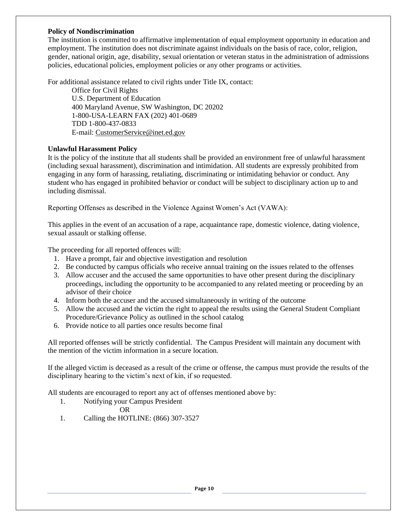#### **Policy of Nondiscrimination**

The institution is committed to affirmative implementation of equal employment opportunity in education and employment. The institution does not discriminate against individuals on the basis of race, color, religion, gender, national origin, age, disability, sexual orientation or veteran status in the administration of admissions policies, educational policies, employment policies or any other programs or activities.

For additional assistance related to civil rights under Title IX, contact:

Office for Civil Rights U.S. Department of Education 400 Maryland Avenue, SW Washington, DC 20202 1-800-USA-LEARN FAX (202) 401-0689 TDD 1-800-437-0833 E-mail[: CustomerService@inet.ed.gov](mailto:CustomerService@inet.ed.gov)

#### **Unlawful Harassment Policy**

It is the policy of the institute that all students shall be provided an environment free of unlawful harassment (including sexual harassment), discrimination and intimidation. All students are expressly prohibited from engaging in any form of harassing, retaliating, discriminating or intimidating behavior or conduct. Any student who has engaged in prohibited behavior or conduct will be subject to disciplinary action up to and including dismissal.

Reporting Offenses as described in the Violence Against Women's Act (VAWA):

This applies in the event of an accusation of a rape, acquaintance rape, domestic violence, dating violence, sexual assault or stalking offense.

The proceeding for all reported offences will:

- 1. Have a prompt, fair and objective investigation and resolution
- 2. Be conducted by campus officials who receive annual training on the issues related to the offenses
- 3. Allow accuser and the accused the same opportunities to have other present during the disciplinary proceedings, including the opportunity to be accompanied to any related meeting or proceeding by an advisor of their choice
- 4. Inform both the accuser and the accused simultaneously in writing of the outcome
- 5. Allow the accused and the victim the right to appeal the results using the General Student Compliant Procedure/Grievance Policy as outlined in the school catalog
- 6. Provide notice to all parties once results become final

All reported offenses will be strictly confidential. The Campus President will maintain any document with the mention of the victim information in a secure location.

If the alleged victim is deceased as a result of the crime or offense, the campus must provide the results of the disciplinary hearing to the victim's next of kin, if so requested.

All students are encouraged to report any act of offenses mentioned above by:

- 1. Notifying your Campus President
	- OR
- 1. Calling the HOTLINE: (866) 307-3527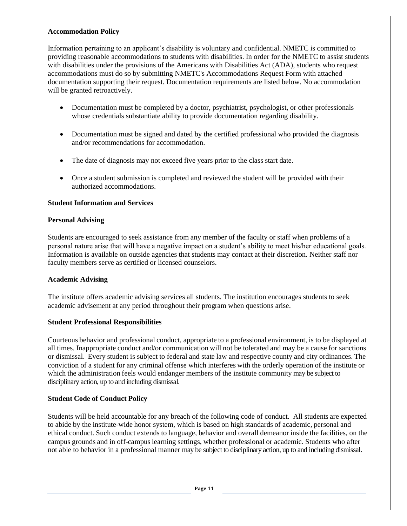#### **Accommodation Policy**

Information pertaining to an applicant's disability is voluntary and confidential. NMETC is committed to providing reasonable accommodations to students with disabilities. In order for the NMETC to assist students with disabilities under the provisions of the Americans with Disabilities Act (ADA), students who request accommodations must do so by submitting NMETC's Accommodations Request Form with attached documentation supporting their request. Documentation requirements are listed below. No accommodation will be granted retroactively.

- Documentation must be completed by a doctor, psychiatrist, psychologist, or other professionals whose credentials substantiate ability to provide documentation regarding disability.
- Documentation must be signed and dated by the certified professional who provided the diagnosis and/or recommendations for accommodation.
- The date of diagnosis may not exceed five years prior to the class start date.
- Once a student submission is completed and reviewed the student will be provided with their authorized accommodations.

#### **Student Information and Services**

#### **Personal Advising**

Students are encouraged to seek assistance from any member of the faculty or staff when problems of a personal nature arise that will have a negative impact on a student's ability to meet his/her educational goals. Information is available on outside agencies that students may contact at their discretion. Neither staff nor faculty members serve as certified or licensed counselors.

#### **Academic Advising**

The institute offers academic advising services all students. The institution encourages students to seek academic advisement at any period throughout their program when questions arise.

#### **Student Professional Responsibilities**

Courteous behavior and professional conduct, appropriate to a professional environment, is to be displayed at all times. Inappropriate conduct and/or communication will not be tolerated and may be a cause for sanctions or dismissal. Every student is subject to federal and state law and respective county and city ordinances. The conviction of a student for any criminal offense which interferes with the orderly operation of the institute or which the administration feels would endanger members of the institute community may be subject to disciplinary action, up to and including dismissal.

#### **Student Code of Conduct Policy**

Students will be held accountable for any breach of the following code of conduct. All students are expected to abide by the institute-wide honor system, which is based on high standards of academic, personal and ethical conduct. Such conduct extends to language, behavior and overall demeanor inside the facilities, on the campus grounds and in off-campus learning settings, whether professional or academic. Students who after not able to behavior in a professional manner may be subject to disciplinary action, up to and including dismissal.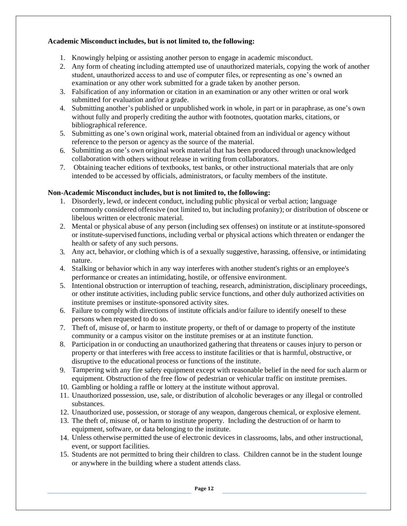#### **Academic Misconduct includes, but is not limited to, the following:**

- 1. Knowingly helping or assisting another person to engage in academic misconduct.
- 2. Any form of cheating including attempted use of unauthorized materials, copying the work of another student, unauthorized access to and use of computer files, or representing as one's owned an examination or any other work submitted for a grade taken by another person.
- 3. Falsification of any information or citation in an examination or any other written or oral work submitted for evaluation and/or a grade.
- 4. Submitting another's published or unpublished work in whole, in part or in paraphrase, as one's own without fully and properly crediting the author with footnotes, quotation marks, citations, or bibliographical reference.
- 5. Submitting as one's own original work, material obtained from an individual or agency without reference to the person or agency as the source of the material.
- 6. Submitting as one's own original work material that has been produced through unacknowledged collaboration with others without release in writing from collaborators.
- 7. Obtaining teacher editions of textbooks, test banks, or other instructional materials that are only intended to be accessed by officials, administrators, or faculty members of the institute.

#### **Non-Academic Misconduct includes, but is not limited to, the following:**

- 1. Disorderly, lewd, or indecent conduct, including public physical or verbal action; language commonly considered offensive (not limited to, but including profanity); or distribution of obscene or libelous written or electronic material.
- 2. Mental or physical abuse of any person (including sex offenses) on institute or at institute-sponsored or institute-supervised functions, including verbal or physical actions which threaten or endanger the health or safety of any such persons.
- 3. Any act, behavior, or clothing which is of a sexually suggestive, harassing, offensive, or intimidating nature.
- 4. Stalking or behavior which in any way interferes with another student's rights or an employee's performance or creates an intimidating, hostile, or offensive environment.
- 5. Intentional obstruction or interruption of teaching, research, administration, disciplinary proceedings, or other institute activities, including public service functions, and other duly authorized activities on institute premises or institute-sponsored activity sites.
- 6. Failure to comply with directions of institute officials and/or failure to identify oneself to these persons when requested to do so.
- 7. Theft of, misuse of, or harm to institute property, or theft of or damage to property of the institute community or a campus visitor on the institute premises or at an institute function.
- 8. Participation in or conducting an unauthorized gathering that threatens or causes injury to person or property or that interferes with free access to institute facilities or that is harmful, obstructive, or disruptive to the educational process or functions of the institute.
- 9. Tampering with any fire safety equipment except with reasonable belief in the need for such alarm or equipment. Obstruction of the free flow of pedestrian or vehicular traffic on institute premises.
- 10. Gambling or holding a raffle or lottery at the institute without approval.
- 11. Unauthorized possession, use, sale, or distribution of alcoholic beverages or any illegal or controlled substances.
- 12. Unauthorized use, possession, or storage of any weapon, dangerous chemical, or explosive element.
- 13. The theft of, misuse of, or harm to institute property. Including the destruction of or harm to equipment, software, or data belonging to the institute.
- 14. Unless otherwise permitted the use of electronic devices in classrooms, labs, and other instructional, event, or support facilities.
- 15. Students are not permitted to bring their children to class. Children cannot be in the student lounge or anywhere in the building where a student attends class.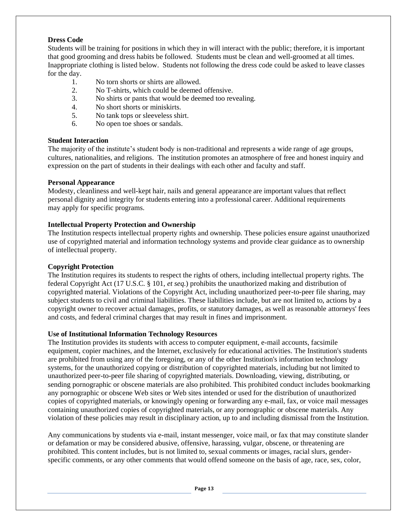#### **Dress Code**

Students will be training for positions in which they in will interact with the public; therefore, it is important that good grooming and dress habits be followed. Students must be clean and well-groomed at all times. Inappropriate clothing is listed below. Students not following the dress code could be asked to leave classes for the day.

- 1. No torn shorts or shirts are allowed.
- 2. No T-shirts, which could be deemed offensive.
- 3. No shirts or pants that would be deemed too revealing.
- 4. No short shorts or miniskirts.
- 5. No tank tops or sleeveless shirt.
- 6. No open toe shoes or sandals.

#### **Student Interaction**

The majority of the institute's student body is non-traditional and represents a wide range of age groups, cultures, nationalities, and religions. The institution promotes an atmosphere of free and honest inquiry and expression on the part of students in their dealings with each other and faculty and staff.

#### **Personal Appearance**

Modesty, cleanliness and well-kept hair, nails and general appearance are important values that reflect personal dignity and integrity for students entering into a professional career. Additional requirements may apply for specific programs.

#### **Intellectual Property Protection and Ownership**

The Institution respects intellectual property rights and ownership. These policies ensure against unauthorized use of copyrighted material and information technology systems and provide clear guidance as to ownership of intellectual property.

#### **Copyright Protection**

The Institution requires its students to respect the rights of others, including intellectual property rights. The federal Copyright Act (17 U.S.C. § 101, *et seq.*) prohibits the unauthorized making and distribution of copyrighted material. Violations of the Copyright Act, including unauthorized peer-to-peer file sharing, may subject students to civil and criminal liabilities. These liabilities include, but are not limited to, actions by a copyright owner to recover actual damages, profits, or statutory damages, as well as reasonable attorneys' fees and costs, and federal criminal charges that may result in fines and imprisonment.

#### **Use of Institutional Information Technology Resources**

The Institution provides its students with access to computer equipment, e-mail accounts, facsimile equipment, copier machines, and the Internet, exclusively for educational activities. The Institution's students are prohibited from using any of the foregoing, or any of the other Institution's information technology systems, for the unauthorized copying or distribution of copyrighted materials, including but not limited to unauthorized peer-to-peer file sharing of copyrighted materials. Downloading, viewing, distributing, or sending pornographic or obscene materials are also prohibited. This prohibited conduct includes bookmarking any pornographic or obscene Web sites or Web sites intended or used for the distribution of unauthorized copies of copyrighted materials, or knowingly opening or forwarding any e-mail, fax, or voice mail messages containing unauthorized copies of copyrighted materials, or any pornographic or obscene materials. Any violation of these policies may result in disciplinary action, up to and including dismissal from the Institution.

Any communications by students via e-mail, instant messenger, voice mail, or fax that may constitute slander or defamation or may be considered abusive, offensive, harassing, vulgar, obscene, or threatening are prohibited. This content includes, but is not limited to, sexual comments or images, racial slurs, genderspecific comments, or any other comments that would offend someone on the basis of age, race, sex, color,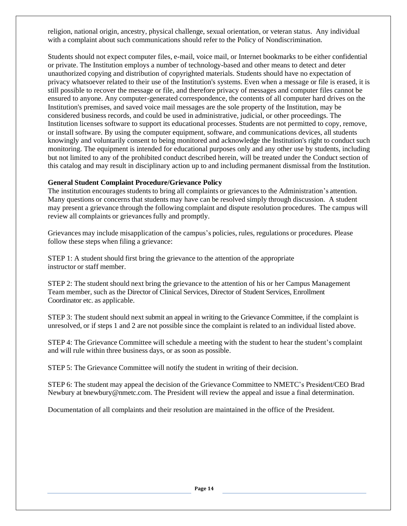religion, national origin, ancestry, physical challenge, sexual orientation, or veteran status. Any individual with a complaint about such communications should refer to the Policy of Nondiscrimination.

Students should not expect computer files, e-mail, voice mail, or Internet bookmarks to be either confidential or private. The Institution employs a number of technology-based and other means to detect and deter unauthorized copying and distribution of copyrighted materials. Students should have no expectation of privacy whatsoever related to their use of the Institution's systems. Even when a message or file is erased, it is still possible to recover the message or file, and therefore privacy of messages and computer files cannot be ensured to anyone. Any computer-generated correspondence, the contents of all computer hard drives on the Institution's premises, and saved voice mail messages are the sole property of the Institution, may be considered business records, and could be used in administrative, judicial, or other proceedings. The Institution licenses software to support its educational processes. Students are not permitted to copy, remove, or install software. By using the computer equipment, software, and communications devices, all students knowingly and voluntarily consent to being monitored and acknowledge the Institution's right to conduct such monitoring. The equipment is intended for educational purposes only and any other use by students, including but not limited to any of the prohibited conduct described herein, will be treated under the Conduct section of this catalog and may result in disciplinary action up to and including permanent dismissal from the Institution.

#### **General Student Complaint Procedure/Grievance Policy**

The institution encourages students to bring all complaints or grievances to the Administration's attention. Many questions or concerns that students may have can be resolved simply through discussion. A student may present a grievance through the following complaint and dispute resolution procedures. The campus will review all complaints or grievances fully and promptly.

Grievances may include misapplication of the campus's policies, rules, regulations or procedures. Please follow these steps when filing a grievance:

STEP 1: A student should first bring the grievance to the attention of the appropriate instructor or staff member.

STEP 2: The student should next bring the grievance to the attention of his or her Campus Management Team member, such as the Director of Clinical Services, Director of Student Services, Enrollment Coordinator etc. as applicable.

STEP 3: The student should next submit an appeal in writing to the Grievance Committee, if the complaint is unresolved, or if steps 1 and 2 are not possible since the complaint is related to an individual listed above.

STEP 4: The Grievance Committee will schedule a meeting with the student to hear the student's complaint and will rule within three business days, or as soon as possible.

STEP 5: The Grievance Committee will notify the student in writing of their decision.

STEP 6: The student may appeal the decision of the Grievance Committee to NMETC's President/CEO Brad Newbury at bnewbury@nmetc.com. The President will review the appeal and issue a final determination.

Documentation of all complaints and their resolution are maintained in the office of the President.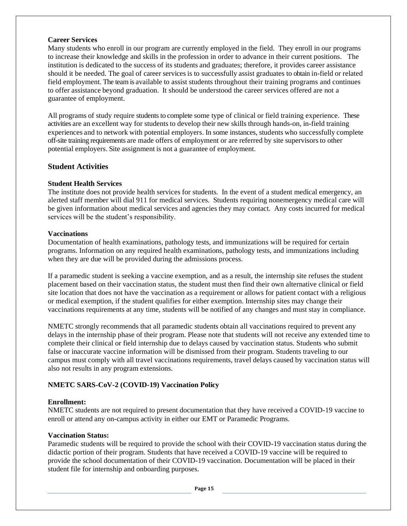#### **Career Services**

Many students who enroll in our program are currently employed in the field. They enroll in our programs to increase their knowledge and skills in the profession in order to advance in their current positions. The institution is dedicated to the success of its students and graduates; therefore, it provides career assistance should it be needed. The goal of career servicesis to successfully assist graduates to obtain in-field or related field employment. The team is available to assist students throughout their training programs and continues to offer assistance beyond graduation. It should be understood the career services offered are not a guarantee of employment.

All programs of study require students to complete some type of clinical or field training experience. These activities are an excellent way for students to develop their new skills through hands-on, in-field training experiences and to network with potential employers. In some instances, students who successfully complete off-site training requirements are made offers of employment or are referred by site supervisors to other potential employers. Site assignment is not a guarantee of employment.

#### **Student Activities**

#### **Student Health Services**

The institute does not provide health services for students. In the event of a student medical emergency, an alerted staff member will dial 911 for medical services. Students requiring nonemergency medical care will be given information about medical services and agencies they may contact. Any costs incurred for medical services will be the student's responsibility.

#### **Vaccinations**

Documentation of health examinations, pathology tests, and immunizations will be required for certain programs. Information on any required health examinations, pathology tests, and immunizations including when they are due will be provided during the admissions process.

If a paramedic student is seeking a vaccine exemption, and as a result, the internship site refuses the student placement based on their vaccination status, the student must then find their own alternative clinical or field site location that does not have the vaccination as a requirement or allows for patient contact with a religious or medical exemption, if the student qualifies for either exemption. Internship sites may change their vaccinations requirements at any time, students will be notified of any changes and must stay in compliance.

NMETC strongly recommends that all paramedic students obtain all vaccinations required to prevent any delays in the internship phase of their program. Please note that students will not receive any extended time to complete their clinical or field internship due to delays caused by vaccination status. Students who submit false or inaccurate vaccine information will be dismissed from their program. Students traveling to our campus must comply with all travel vaccinations requirements, travel delays caused by vaccination status will also not results in any program extensions.

#### **NMETC SARS-CoV-2 (COVID-19) Vaccination Policy**

#### **Enrollment:**

NMETC students are not required to present documentation that they have received a COVID-19 vaccine to enroll or attend any on-campus activity in either our EMT or Paramedic Programs.

#### **Vaccination Status:**

Paramedic students will be required to provide the school with their COVID-19 vaccination status during the didactic portion of their program. Students that have received a COVID-19 vaccine will be required to provide the school documentation of their COVID-19 vaccination. Documentation will be placed in their student file for internship and onboarding purposes.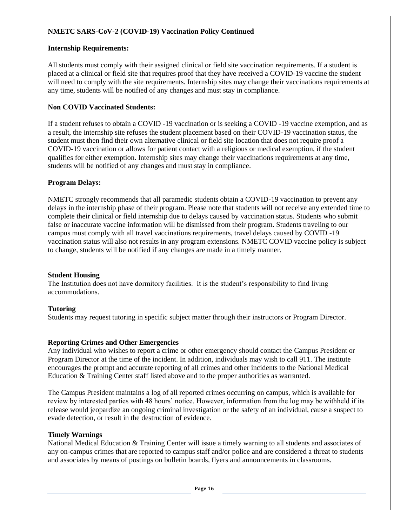#### **NMETC SARS-CoV-2 (COVID-19) Vaccination Policy Continued**

#### **Internship Requirements:**

All students must comply with their assigned clinical or field site vaccination requirements. If a student is placed at a clinical or field site that requires proof that they have received a COVID-19 vaccine the student will need to comply with the site requirements. Internship sites may change their vaccinations requirements at any time, students will be notified of any changes and must stay in compliance.

#### **Non COVID Vaccinated Students:**

If a student refuses to obtain a COVID -19 vaccination or is seeking a COVID -19 vaccine exemption, and as a result, the internship site refuses the student placement based on their COVID-19 vaccination status, the student must then find their own alternative clinical or field site location that does not require proof a COVID-19 vaccination or allows for patient contact with a religious or medical exemption, if the student qualifies for either exemption. Internship sites may change their vaccinations requirements at any time, students will be notified of any changes and must stay in compliance.

#### **Program Delays:**

NMETC strongly recommends that all paramedic students obtain a COVID-19 vaccination to prevent any delays in the internship phase of their program. Please note that students will not receive any extended time to complete their clinical or field internship due to delays caused by vaccination status. Students who submit false or inaccurate vaccine information will be dismissed from their program. Students traveling to our campus must comply with all travel vaccinations requirements, travel delays caused by COVID -19 vaccination status will also not results in any program extensions. NMETC COVID vaccine policy is subject to change, students will be notified if any changes are made in a timely manner.

#### **Student Housing**

The Institution does not have dormitory facilities. It is the student's responsibility to find living accommodations.

#### **Tutoring**

Students may request tutoring in specific subject matter through their instructors or Program Director.

#### **Reporting Crimes and Other Emergencies**

Any individual who wishes to report a crime or other emergency should contact the Campus President or Program Director at the time of the incident. In addition, individuals may wish to call 911. The institute encourages the prompt and accurate reporting of all crimes and other incidents to the National Medical Education & Training Center staff listed above and to the proper authorities as warranted.

The Campus President maintains a log of all reported crimes occurring on campus, which is available for review by interested parties with 48 hours' notice. However, information from the log may be withheld if its release would jeopardize an ongoing criminal investigation or the safety of an individual, cause a suspect to evade detection, or result in the destruction of evidence.

#### **Timely Warnings**

National Medical Education & Training Center will issue a timely warning to all students and associates of any on-campus crimes that are reported to campus staff and/or police and are considered a threat to students and associates by means of postings on bulletin boards, flyers and announcements in classrooms.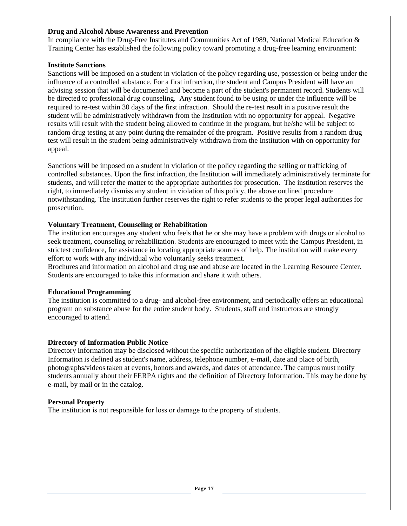#### **Drug and Alcohol Abuse Awareness and Prevention**

In compliance with the Drug-Free Institutes and Communities Act of 1989, National Medical Education & Training Center has established the following policy toward promoting a drug-free learning environment:

#### **Institute Sanctions**

Sanctions will be imposed on a student in violation of the policy regarding use, possession or being under the influence of a controlled substance. For a first infraction, the student and Campus President will have an advising session that will be documented and become a part of the student's permanent record. Students will be directed to professional drug counseling. Any student found to be using or under the influence will be required to re-test within 30 days of the first infraction. Should the re-test result in a positive result the student will be administratively withdrawn from the Institution with no opportunity for appeal. Negative results will result with the student being allowed to continue in the program, but he/she will be subject to random drug testing at any point during the remainder of the program. Positive results from a random drug test will result in the student being administratively withdrawn from the Institution with on opportunity for appeal.

Sanctions will be imposed on a student in violation of the policy regarding the selling or trafficking of controlled substances. Upon the first infraction, the Institution will immediately administratively terminate for students, and will refer the matter to the appropriate authorities for prosecution. The institution reserves the right, to immediately dismiss any student in violation of this policy, the above outlined procedure notwithstanding. The institution further reserves the right to refer students to the proper legal authorities for prosecution.

#### **Voluntary Treatment, Counseling or Rehabilitation**

The institution encourages any student who feels that he or she may have a problem with drugs or alcohol to seek treatment, counseling or rehabilitation. Students are encouraged to meet with the Campus President, in strictest confidence, for assistance in locating appropriate sources of help. The institution will make every effort to work with any individual who voluntarily seeks treatment.

Brochures and information on alcohol and drug use and abuse are located in the Learning Resource Center. Students are encouraged to take this information and share it with others.

#### **Educational Programming**

The institution is committed to a drug- and alcohol-free environment, and periodically offers an educational program on substance abuse for the entire student body. Students, staff and instructors are strongly encouraged to attend.

#### **Directory of Information Public Notice**

Directory Information may be disclosed without the specific authorization of the eligible student. Directory Information is defined as student's name, address, telephone number, e-mail, date and place of birth, photographs/videostaken at events, honors and awards, and dates of attendance. The campus must notify students annually about their FERPA rights and the definition of Directory Information. This may be done by e-mail, by mail or in the catalog.

#### **Personal Property**

The institution is not responsible for loss or damage to the property of students.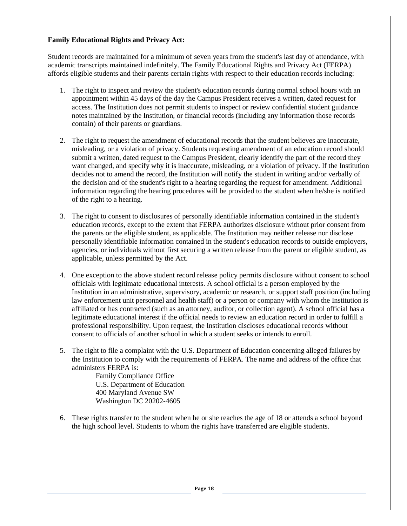#### **Family Educational Rights and Privacy Act:**

Student records are maintained for a minimum of seven years from the student's last day of attendance, with academic transcripts maintained indefinitely. The Family Educational Rights and Privacy Act (FERPA) affords eligible students and their parents certain rights with respect to their education records including:

- 1. The right to inspect and review the student's education records during normal school hours with an appointment within 45 days of the day the Campus President receives a written, dated request for access. The Institution does not permit students to inspect or review confidential student guidance notes maintained by the Institution, or financial records (including any information those records contain) of their parents or guardians.
- 2. The right to request the amendment of educational records that the student believes are inaccurate, misleading, or a violation of privacy. Students requesting amendment of an education record should submit a written, dated request to the Campus President, clearly identify the part of the record they want changed, and specify why it is inaccurate, misleading, or a violation of privacy. If the Institution decides not to amend the record, the Institution will notify the student in writing and/or verbally of the decision and of the student's right to a hearing regarding the request for amendment. Additional information regarding the hearing procedures will be provided to the student when he/she is notified of the right to a hearing.
- 3. The right to consent to disclosures of personally identifiable information contained in the student's education records, except to the extent that FERPA authorizes disclosure without prior consent from the parents or the eligible student, as applicable. The Institution may neither release nor disclose personally identifiable information contained in the student's education records to outside employers, agencies, or individuals without first securing a written release from the parent or eligible student, as applicable, unless permitted by the Act.
- 4. One exception to the above student record release policy permits disclosure without consent to school officials with legitimate educational interests. A school official is a person employed by the Institution in an administrative, supervisory, academic or research, or support staff position (including law enforcement unit personnel and health staff) or a person or company with whom the Institution is affiliated or has contracted (such as an attorney, auditor, or collection agent). A school official has a legitimate educational interest if the official needs to review an education record in order to fulfill a professional responsibility. Upon request, the Institution discloses educational records without consent to officials of another school in which a student seeks or intends to enroll.
- 5. The right to file a complaint with the U.S. Department of Education concerning alleged failures by the Institution to comply with the requirements of FERPA. The name and address of the office that administers FERPA is:

Family Compliance Office U.S. Department of Education 400 Maryland Avenue SW Washington DC 20202-4605

6. These rights transfer to the student when he or she reaches the age of 18 or attends a school beyond the high school level. Students to whom the rights have transferred are eligible students.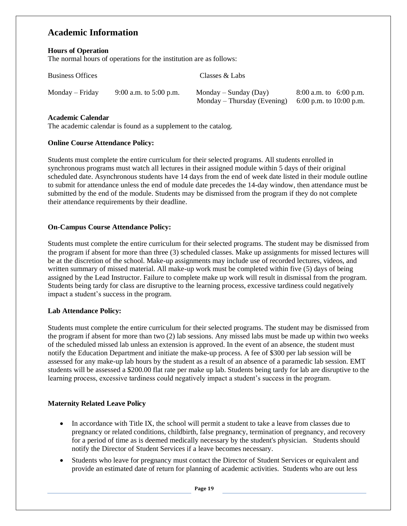# **Academic Information**

#### **Hours of Operation**

The normal hours of operations for the institution are as follows:

| <b>Business Offices</b> |                        | Classes & Labs              |                         |
|-------------------------|------------------------|-----------------------------|-------------------------|
| $Monday - Friday$       | 9:00 a.m. to 5:00 p.m. | Monday – Sunday (Day)       | 8:00 a.m. to 6:00 p.m.  |
|                         |                        | Monday – Thursday (Evening) | 6:00 p.m. to 10:00 p.m. |

#### **Academic Calendar**

The academic calendar is found as a supplement to the catalog.

#### **Online Course Attendance Policy:**

Students must complete the entire curriculum for their selected programs. All students enrolled in synchronous programs must watch all lectures in their assigned module within 5 days of their original scheduled date. Asynchronous students have 14 days from the end of week date listed in their module outline to submit for attendance unless the end of module date precedes the 14-day window, then attendance must be submitted by the end of the module. Students may be dismissed from the program if they do not complete their attendance requirements by their deadline.

#### **On-Campus Course Attendance Policy:**

Students must complete the entire curriculum for their selected programs. The student may be dismissed from the program if absent for more than three (3) scheduled classes. Make up assignments for missed lectures will be at the discretion of the school. Make-up assignments may include use of recorded lectures, videos, and written summary of missed material. All make-up work must be completed within five (5) days of being assigned by the Lead Instructor. Failure to complete make up work will result in dismissal from the program. Students being tardy for class are disruptive to the learning process, excessive tardiness could negatively impact a student's success in the program.

#### **Lab Attendance Policy:**

Students must complete the entire curriculum for their selected programs. The student may be dismissed from the program if absent for more than two (2) lab sessions. Any missed labs must be made up within two weeks of the scheduled missed lab unless an extension is approved. In the event of an absence, the student must notify the Education Department and initiate the make-up process. A fee of \$300 per lab session will be assessed for any make-up lab hours by the student as a result of an absence of a paramedic lab session. EMT students will be assessed a \$200.00 flat rate per make up lab. Students being tardy for lab are disruptive to the learning process, excessive tardiness could negatively impact a student's success in the program.

#### **Maternity Related Leave Policy**

- In accordance with Title IX, the school will permit a student to take a leave from classes due to pregnancy or related conditions, childbirth, false pregnancy, termination of pregnancy, and recovery for a period of time as is deemed medically necessary by the student's physician. Students should notify the Director of Student Services if a leave becomes necessary.
- Students who leave for pregnancy must contact the Director of Student Services or equivalent and provide an estimated date of return for planning of academic activities. Students who are out less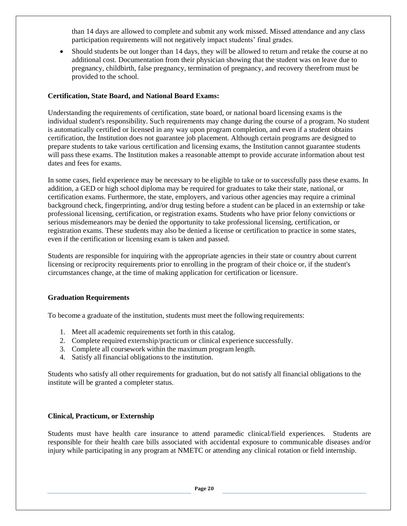than 14 days are allowed to complete and submit any work missed. Missed attendance and any class participation requirements will not negatively impact students' final grades.

• Should students be out longer than 14 days, they will be allowed to return and retake the course at no additional cost. Documentation from their physician showing that the student was on leave due to pregnancy, childbirth, false pregnancy, termination of pregnancy, and recovery therefrom must be provided to the school.

#### **Certification, State Board, and National Board Exams:**

Understanding the requirements of certification, state board, or national board licensing exams is the individual student's responsibility. Such requirements may change during the course of a program. No student is automatically certified or licensed in any way upon program completion, and even if a student obtains certification, the Institution does not guarantee job placement. Although certain programs are designed to prepare students to take various certification and licensing exams, the Institution cannot guarantee students will pass these exams. The Institution makes a reasonable attempt to provide accurate information about test dates and fees for exams.

In some cases, field experience may be necessary to be eligible to take or to successfully pass these exams. In addition, a GED or high school diploma may be required for graduates to take their state, national, or certification exams. Furthermore, the state, employers, and various other agencies may require a criminal background check, fingerprinting, and/or drug testing before a student can be placed in an externship or take professional licensing, certification, or registration exams. Students who have prior felony convictions or serious misdemeanors may be denied the opportunity to take professional licensing, certification, or registration exams. These students may also be denied a license or certification to practice in some states, even if the certification or licensing exam is taken and passed.

Students are responsible for inquiring with the appropriate agencies in their state or country about current licensing or reciprocity requirements prior to enrolling in the program of their choice or, if the student's circumstances change, at the time of making application for certification or licensure.

#### **Graduation Requirements**

To become a graduate of the institution, students must meet the following requirements:

- 1. Meet all academic requirements set forth in this catalog.
- 2. Complete required externship/practicum or clinical experience successfully.
- 3. Complete all coursework within the maximum program length.
- 4. Satisfy all financial obligations to the institution.

Students who satisfy all other requirements for graduation, but do not satisfy all financial obligations to the institute will be granted a completer status.

#### **Clinical, Practicum, or Externship**

Students must have health care insurance to attend paramedic clinical/field experiences. Students are responsible for their health care bills associated with accidental exposure to communicable diseases and/or injury while participating in any program at NMETC or attending any clinical rotation or field internship.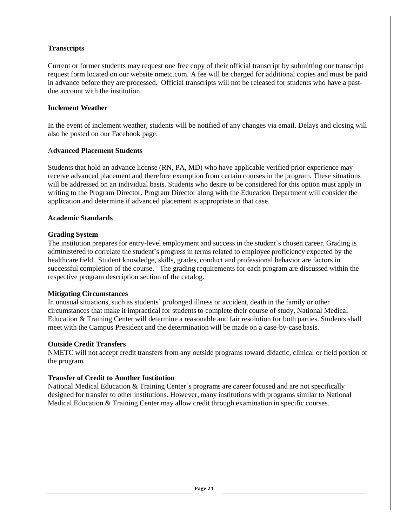#### **Transcripts**

Current or former students may request one free copy of their official transcript by submitting our transcript request form located on our website nmetc.com. A fee will be charged for additional copies and must be paid in advance before they are processed. Official transcripts will not be released for students who have a pastdue account with the institution.

#### **Inclement Weather**

In the event of inclement weather, students will be notified of any changes via email. Delays and closing will also be posted on our Facebook page.

#### A**dvanced Placement Students**

Students that hold an advance license (RN, PA, MD) who have applicable verified prior experience may receive advanced placement and therefore exemption from certain courses in the program. These situations will be addressed on an individual basis. Students who desire to be considered for this option must apply in writing to the Program Director. Program Director along with the Education Department will consider the application and determine if advanced placement is appropriate in that case.

#### **Academic Standards**

#### **Grading System**

The institution prepares for entry-level employment and success in the student's chosen career. Grading is administered to correlate the student's progress in terms related to employee proficiency expected by the healthcare field. Student knowledge, skills, grades, conduct and professional behavior are factors in successful completion of the course. The grading requirements for each program are discussed within the respective program description section of the catalog.

#### **Mitigating Circumstances**

In unusual situations, such as students' prolonged illness or accident, death in the family or other circumstances that make it impractical for students to complete their course of study, National Medical Education & Training Center will determine a reasonable and fair resolution for both parties. Students shall meet with the Campus President and the determination will be made on a case-by-case basis.

#### **Outside Credit Transfers**

NMETC will not accept credit transfers from any outside programs toward didactic, clinical or field portion of the program.

#### **Transfer of Credit to Another Institution**

National Medical Education & Training Center's programs are career focused and are not specifically designed for transfer to other institutions. However, many institutions with programs similar to National Medical Education & Training Center may allow credit through examination in specific courses.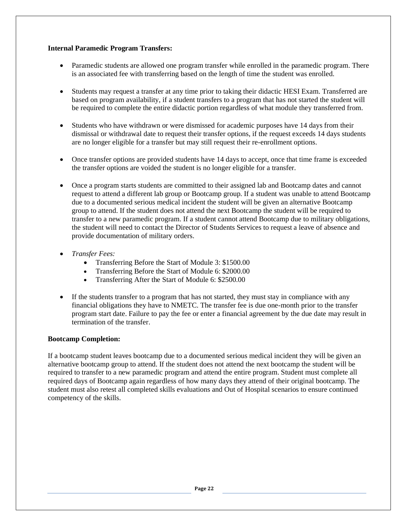#### **Internal Paramedic Program Transfers:**

- Paramedic students are allowed one program transfer while enrolled in the paramedic program. There is an associated fee with transferring based on the length of time the student was enrolled.
- Students may request a transfer at any time prior to taking their didactic HESI Exam. Transferred are based on program availability, if a student transfers to a program that has not started the student will be required to complete the entire didactic portion regardless of what module they transferred from.
- Students who have withdrawn or were dismissed for academic purposes have 14 days from their dismissal or withdrawal date to request their transfer options, if the request exceeds 14 days students are no longer eligible for a transfer but may still request their re-enrollment options.
- Once transfer options are provided students have 14 days to accept, once that time frame is exceeded the transfer options are voided the student is no longer eligible for a transfer.
- Once a program starts students are committed to their assigned lab and Bootcamp dates and cannot request to attend a different lab group or Bootcamp group. If a student was unable to attend Bootcamp due to a documented serious medical incident the student will be given an alternative Bootcamp group to attend. If the student does not attend the next Bootcamp the student will be required to transfer to a new paramedic program. If a student cannot attend Bootcamp due to military obligations, the student will need to contact the Director of Students Services to request a leave of absence and provide documentation of military orders.
- *Transfer Fees:*
	- Transferring Before the Start of Module 3: \$1500.00
	- Transferring Before the Start of Module 6: \$2000.00
	- Transferring After the Start of Module 6: \$2500.00
- If the students transfer to a program that has not started, they must stay in compliance with any financial obligations they have to NMETC. The transfer fee is due one-month prior to the transfer program start date. Failure to pay the fee or enter a financial agreement by the due date may result in termination of the transfer.

#### **Bootcamp Completion:**

If a bootcamp student leaves bootcamp due to a documented serious medical incident they will be given an alternative bootcamp group to attend. If the student does not attend the next bootcamp the student will be required to transfer to a new paramedic program and attend the entire program. Student must complete all required days of Bootcamp again regardless of how many days they attend of their original bootcamp. The student must also retest all completed skills evaluations and Out of Hospital scenarios to ensure continued competency of the skills.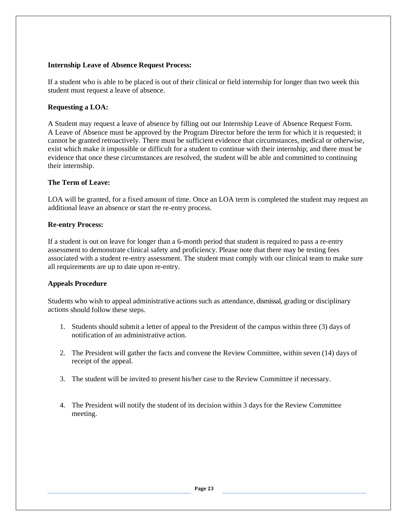#### **Internship Leave of Absence Request Process:**

If a student who is able to be placed is out of their clinical or field internship for longer than two week this student must request a leave of absence.

#### **Requesting a LOA:**

A Student may request a leave of absence by filling out our Internship Leave of Absence Request Form. A Leave of Absence must be approved by the Program Director before the term for which it is requested; it cannot be granted retroactively. There must be sufficient evidence that circumstances, medical or otherwise, exist which make it impossible or difficult for a student to continue with their internship; and there must be evidence that once these circumstances are resolved, the student will be able and committed to continuing their internship.

#### **The Term of Leave:**

LOA will be granted, for a fixed amount of time. Once an LOA term is completed the student may request an additional leave an absence or start the re-entry process.

#### **Re-entry Process:**

If a student is out on leave for longer than a 6-month period that student is required to pass a re-entry assessment to demonstrate clinical safety and proficiency. Please note that there may be testing fees associated with a student re-entry assessment. The student must comply with our clinical team to make sure all requirements are up to date upon re-entry.

#### **Appeals Procedure**

Students who wish to appeal administrative actions such as attendance, dismissal, grading or disciplinary actions should follow these steps.

- 1. Students should submit a letter of appeal to the President of the campus within three (3) days of notification of an administrative action.
- 2. The President will gather the facts and convene the Review Committee, within seven (14) days of receipt of the appeal.
- 3. The student will be invited to present his/her case to the Review Committee if necessary.
- 4. The President will notify the student of its decision within 3 days for the Review Committee meeting.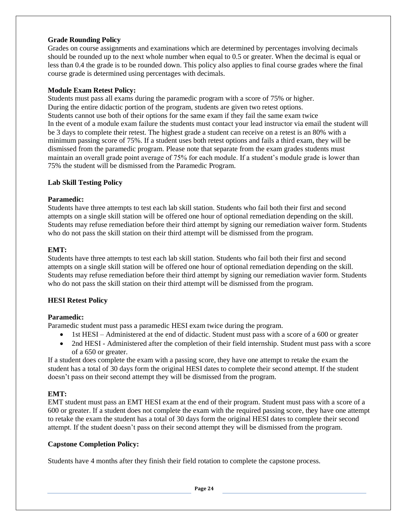#### **Grade Rounding Policy**

Grades on course assignments and examinations which are determined by percentages involving decimals should be rounded up to the next whole number when equal to 0.5 or greater. When the decimal is equal or less than 0.4 the grade is to be rounded down. This policy also applies to final course grades where the final course grade is determined using percentages with decimals.

#### **Module Exam Retest Policy:**

Students must pass all exams during the paramedic program with a score of 75% or higher. During the entire didactic portion of the program, students are given two retest options. Students cannot use both of their options for the same exam if they fail the same exam twice In the event of a module exam failure the students must contact your lead instructor via email the student will be 3 days to complete their retest. The highest grade a student can receive on a retest is an 80% with a minimum passing score of 75%. If a student uses both retest options and fails a third exam, they will be dismissed from the paramedic program. Please note that separate from the exam grades students must maintain an overall grade point average of 75% for each module. If a student's module grade is lower than 75% the student will be dismissed from the Paramedic Program.

#### **Lab Skill Testing Policy**

#### **Paramedic:**

Students have three attempts to test each lab skill station. Students who fail both their first and second attempts on a single skill station will be offered one hour of optional remediation depending on the skill. Students may refuse remediation before their third attempt by signing our remediation waiver form. Students who do not pass the skill station on their third attempt will be dismissed from the program.

#### **EMT:**

Students have three attempts to test each lab skill station. Students who fail both their first and second attempts on a single skill station will be offered one hour of optional remediation depending on the skill. Students may refuse remediation before their third attempt by signing our remediation wavier form. Students who do not pass the skill station on their third attempt will be dismissed from the program.

#### **HESI Retest Policy**

#### **Paramedic:**

Paramedic student must pass a paramedic HESI exam twice during the program.

- 1st HESI Administered at the end of didactic. Student must pass with a score of a 600 or greater
- 2nd HESI Administered after the completion of their field internship. Student must pass with a score of a 650 or greater.

If a student does complete the exam with a passing score, they have one attempt to retake the exam the student has a total of 30 days form the original HESI dates to complete their second attempt. If the student doesn't pass on their second attempt they will be dismissed from the program.

#### **EMT:**

EMT student must pass an EMT HESI exam at the end of their program. Student must pass with a score of a 600 or greater. If a student does not complete the exam with the required passing score, they have one attempt to retake the exam the student has a total of 30 days form the original HESI dates to complete their second attempt. If the student doesn't pass on their second attempt they will be dismissed from the program.

#### **Capstone Completion Policy:**

Students have 4 months after they finish their field rotation to complete the capstone process.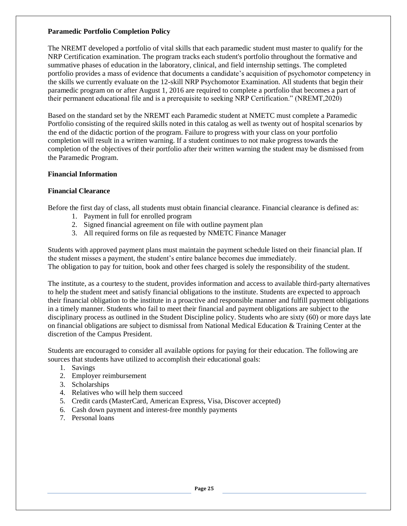#### **Paramedic Portfolio Completion Policy**

The NREMT developed a portfolio of vital skills that each paramedic student must master to qualify for the NRP Certification examination. The program tracks each student's portfolio throughout the formative and summative phases of education in the laboratory, clinical, and field internship settings. The completed portfolio provides a mass of evidence that documents a candidate's acquisition of psychomotor competency in the skills we currently evaluate on the 12-skill NRP Psychomotor Examination. All students that begin their paramedic program on or after August 1, 2016 are required to complete a portfolio that becomes a part of their permanent educational file and is a prerequisite to seeking NRP Certification." (NREMT,2020)

Based on the standard set by the NREMT each Paramedic student at NMETC must complete a Paramedic Portfolio consisting of the required skills noted in this catalog as well as twenty out of hospital scenarios by the end of the didactic portion of the program. Failure to progress with your class on your portfolio completion will result in a written warning. If a student continues to not make progress towards the completion of the objectives of their portfolio after their written warning the student may be dismissed from the Paramedic Program.

#### **Financial Information**

#### **Financial Clearance**

Before the first day of class, all students must obtain financial clearance. Financial clearance is defined as:

- 1. Payment in full for enrolled program
- 2. Signed financial agreement on file with outline payment plan
- 3. All required forms on file as requested by NMETC Finance Manager

Students with approved payment plans must maintain the payment schedule listed on their financial plan. If the student misses a payment, the student's entire balance becomes due immediately. The obligation to pay for tuition, book and other fees charged is solely the responsibility of the student.

The institute, as a courtesy to the student, provides information and access to available third-party alternatives to help the student meet and satisfy financial obligations to the institute. Students are expected to approach their financial obligation to the institute in a proactive and responsible manner and fulfill payment obligations in a timely manner. Students who fail to meet their financial and payment obligations are subject to the disciplinary process as outlined in the Student Discipline policy. Students who are sixty (60) or more days late on financial obligations are subject to dismissal from National Medical Education & Training Center at the discretion of the Campus President.

Students are encouraged to consider all available options for paying for their education. The following are sources that students have utilized to accomplish their educational goals:

- 1. Savings
- 2. Employer reimbursement
- 3. Scholarships
- 4. Relatives who will help them succeed
- 5. Credit cards (MasterCard, American Express, Visa, Discover accepted)
- 6. Cash down payment and interest-free monthly payments
- 7. Personal loans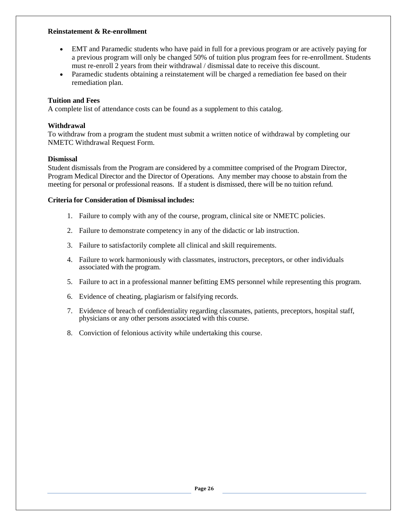#### **Reinstatement & Re-enrollment**

- EMT and Paramedic students who have paid in full for a previous program or are actively paying for a previous program will only be changed 50% of tuition plus program fees for re-enrollment. Students must re-enroll 2 years from their withdrawal / dismissal date to receive this discount.
- Paramedic students obtaining a reinstatement will be charged a remediation fee based on their remediation plan.

#### **Tuition and Fees**

A complete list of attendance costs can be found as a supplement to this catalog.

#### **Withdrawal**

To withdraw from a program the student must submit a written notice of withdrawal by completing our NMETC Withdrawal Request Form.

#### **Dismissal**

Student dismissals from the Program are considered by a committee comprised of the Program Director, Program Medical Director and the Director of Operations. Any member may choose to abstain from the meeting for personal or professional reasons. If a student is dismissed, there will be no tuition refund.

#### **Criteria for Consideration of Dismissal includes:**

- 1. Failure to comply with any of the course, program, clinical site or NMETC policies.
- 2. Failure to demonstrate competency in any of the didactic or lab instruction.
- 3. Failure to satisfactorily complete all clinical and skill requirements.
- 4. Failure to work harmoniously with classmates, instructors, preceptors, or other individuals associated with the program.
- 5. Failure to act in a professional manner befitting EMS personnel while representing this program.
- 6. Evidence of cheating, plagiarism or falsifying records.
- 7. Evidence of breach of confidentiality regarding classmates, patients, preceptors, hospital staff, physicians or any other persons associated with this course.
- 8. Conviction of felonious activity while undertaking this course.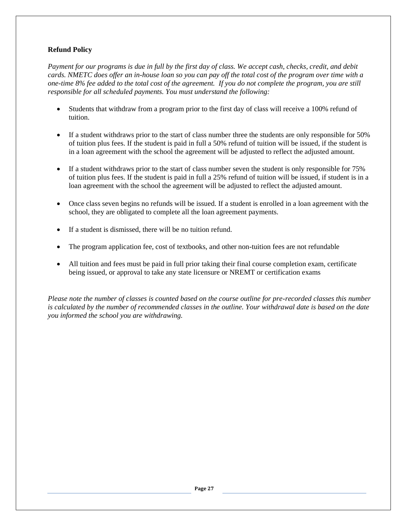#### **Refund Policy**

*Payment for our programs is due in full by the first day of class. We accept cash, checks, credit, and debit cards. NMETC does offer an in-house loan so you can pay off the total cost of the program over time with a one-time 8% fee added to the total cost of the agreement. If you do not complete the program, you are still responsible for all scheduled payments. You must understand the following:*

- Students that withdraw from a program prior to the first day of class will receive a 100% refund of tuition.
- If a student withdraws prior to the start of class number three the students are only responsible for 50% of tuition plus fees. If the student is paid in full a 50% refund of tuition will be issued, if the student is in a loan agreement with the school the agreement will be adjusted to reflect the adjusted amount.
- If a student withdraws prior to the start of class number seven the student is only responsible for 75% of tuition plus fees. If the student is paid in full a 25% refund of tuition will be issued, if student is in a loan agreement with the school the agreement will be adjusted to reflect the adjusted amount.
- Once class seven begins no refunds will be issued. If a student is enrolled in a loan agreement with the school, they are obligated to complete all the loan agreement payments.
- If a student is dismissed, there will be no tuition refund.
- The program application fee, cost of textbooks, and other non-tuition fees are not refundable
- All tuition and fees must be paid in full prior taking their final course completion exam, certificate being issued, or approval to take any state licensure or NREMT or certification exams

*Please note the number of classes is counted based on the course outline for pre-recorded classes this number is calculated by the number of recommended classes in the outline. Your withdrawal date is based on the date you informed the school you are withdrawing.*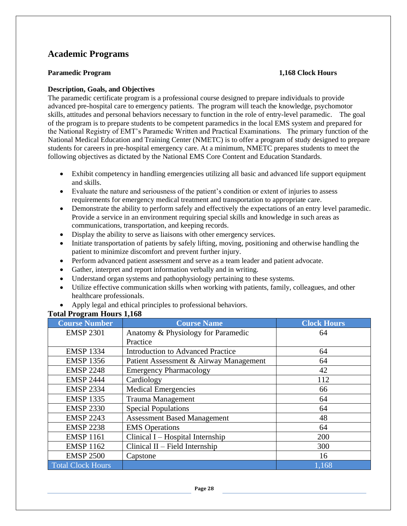# **Academic Programs**

#### **Paramedic Program 1,168** Clock Hours

#### **Description, Goals, and Objectives**

The paramedic certificate program is a professional course designed to prepare individuals to provide advanced pre-hospital care to emergency patients. The program will teach the knowledge, psychomotor skills, attitudes and personal behaviors necessary to function in the role of entry-level paramedic. The goal of the program is to prepare students to be competent paramedics in the local EMS system and prepared for the National Registry of EMT's Paramedic Written and Practical Examinations. The primary function of the National Medical Education and Training Center (NMETC) is to offer a program of study designed to prepare students for careers in pre-hospital emergency care. At a minimum, NMETC prepares students to meet the following objectives as dictated by the National EMS Core Content and Education Standards.

- Exhibit competency in handling emergencies utilizing all basic and advanced life support equipment and skills.
- Evaluate the nature and seriousness of the patient's condition or extent of injuries to assess requirements for emergency medical treatment and transportation to appropriate care.
- Demonstrate the ability to perform safely and effectively the expectations of an entry level paramedic. Provide a service in an environment requiring special skills and knowledge in such areas as communications, transportation, and keeping records.
- Display the ability to serve as liaisons with other emergency services.
- Initiate transportation of patients by safely lifting, moving, positioning and otherwise handling the patient to minimize discomfort and prevent further injury.
- Perform advanced patient assessment and serve as a team leader and patient advocate.
- Gather, interpret and report information verbally and in writing.
- Understand organ systems and pathophysiology pertaining to these systems.
- Utilize effective communication skills when working with patients, family, colleagues, and other healthcare professionals.
- Apply legal and ethical principles to professional behaviors.

#### **Total Program Hours 1,168**

| <b>Course Number</b>     | <b>Course Name</b>                       | <b>Clock Hours</b> |
|--------------------------|------------------------------------------|--------------------|
| <b>EMSP 2301</b>         | Anatomy & Physiology for Paramedic       | 64                 |
|                          | Practice                                 |                    |
| <b>EMSP 1334</b>         | <b>Introduction to Advanced Practice</b> | 64                 |
| <b>EMSP 1356</b>         | Patient Assessment & Airway Management   | 64                 |
| <b>EMSP 2248</b>         | <b>Emergency Pharmacology</b>            | 42                 |
| <b>EMSP 2444</b>         | Cardiology                               | 112                |
| <b>EMSP 2334</b>         | <b>Medical Emergencies</b>               | 66                 |
| <b>EMSP 1335</b>         | <b>Trauma Management</b>                 | 64                 |
| <b>EMSP 2330</b>         | <b>Special Populations</b>               | 64                 |
| <b>EMSP 2243</b>         | <b>Assessment Based Management</b>       | 48                 |
| <b>EMSP 2238</b>         | <b>EMS</b> Operations                    | 64                 |
| <b>EMSP 1161</b>         | Clinical $I - Hospital$ Internship       | 200                |
| <b>EMSP 1162</b>         | Clinical $II$ – Field Internship         | 300                |
| <b>EMSP 2500</b>         | Capstone                                 | 16                 |
| <b>Total Clock Hours</b> |                                          | 1,168              |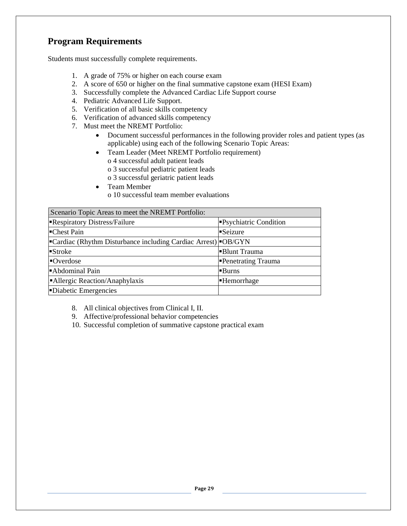# **Program Requirements**

Students must successfully complete requirements.

- 1. A grade of 75% or higher on each course exam
- 2. A score of 650 or higher on the final summative capstone exam (HESI Exam)
- 3. Successfully complete the Advanced Cardiac Life Support course
- 4. Pediatric Advanced Life Support.
- 5. Verification of all basic skills competency
- 6. Verification of advanced skills competency
- 7. Must meet the NREMT Portfolio:
	- Document successful performances in the following provider roles and patient types (as applicable) using each of the following Scenario Topic Areas:
	- Team Leader (Meet NREMT Portfolio requirement)
		- o 4 successful adult patient leads
		- o 3 successful pediatric patient leads
		- o 3 successful geriatric patient leads
	- Team Member o 10 successful team member evaluations

| Scenario Topic Areas to meet the NREMT Portfolio:                   |                       |  |
|---------------------------------------------------------------------|-----------------------|--|
| Respiratory Distress/Failure                                        | Psychiatric Condition |  |
| -Chest Pain                                                         | Seizure               |  |
| <b>Cardiac (Rhythm Disturbance including Cardiac Arrest)</b> OB/GYN |                       |  |
| $\blacksquare$ Stroke                                               | Blunt Trauma          |  |
| Overdose                                                            | Penetrating Trauma    |  |
| Abdominal Pain                                                      | <b>Burns</b>          |  |
| Allergic Reaction/Anaphylaxis                                       | -Hemorrhage           |  |
| -Diabetic Emergencies                                               |                       |  |

8. All clinical objectives from Clinical I, II.

- 9. Affective/professional behavior competencies
- 10. Successful completion of summative capstone practical exam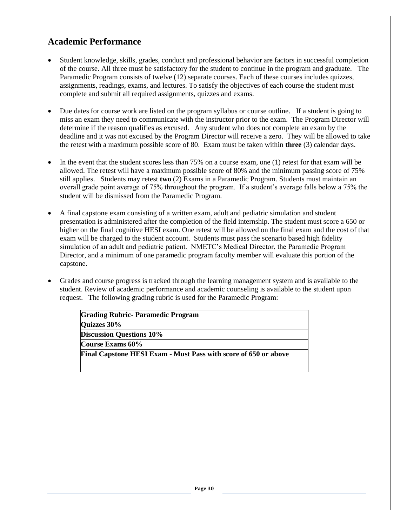# **Academic Performance**

- Student knowledge, skills, grades, conduct and professional behavior are factors in successful completion of the course. All three must be satisfactory for the student to continue in the program and graduate. The Paramedic Program consists of twelve (12) separate courses. Each of these courses includes quizzes, assignments, readings, exams, and lectures. To satisfy the objectives of each course the student must complete and submit all required assignments, quizzes and exams.
- Due dates for course work are listed on the program syllabus or course outline. If a student is going to miss an exam they need to communicate with the instructor prior to the exam. The Program Director will determine if the reason qualifies as excused. Any student who does not complete an exam by the deadline and it was not excused by the Program Director will receive a zero. They will be allowed to take the retest with a maximum possible score of 80. Exam must be taken within **three** (3) calendar days.
- In the event that the student scores less than 75% on a course exam, one (1) retest for that exam will be allowed. The retest will have a maximum possible score of 80% and the minimum passing score of 75% still applies. Students may retest **two** (2) Exams in a Paramedic Program. Students must maintain an overall grade point average of 75% throughout the program. If a student's average falls below a 75% the student will be dismissed from the Paramedic Program.
- A final capstone exam consisting of a written exam, adult and pediatric simulation and student presentation is administered after the completion of the field internship. The student must score a 650 or higher on the final cognitive HESI exam. One retest will be allowed on the final exam and the cost of that exam will be charged to the student account. Students must pass the scenario based high fidelity simulation of an adult and pediatric patient. NMETC's Medical Director, the Paramedic Program Director, and a minimum of one paramedic program faculty member will evaluate this portion of the capstone.
- Grades and course progress is tracked through the learning management system and is available to the student. Review of academic performance and academic counseling is available to the student upon request. The following grading rubric is used for the Paramedic Program:

| <b>Grading Rubric-Paramedic Program</b>                                |  |
|------------------------------------------------------------------------|--|
| <b>Quizzes 30%</b>                                                     |  |
| <b>Discussion Questions 10%</b>                                        |  |
| Course Exams 60%                                                       |  |
| <b>Final Capstone HESI Exam - Must Pass with score of 650 or above</b> |  |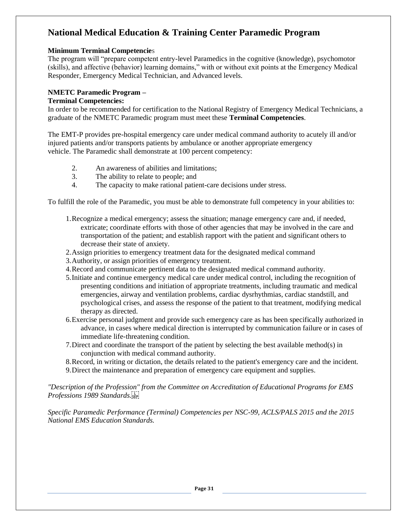# **National Medical Education & Training Center Paramedic Program**

#### **Minimum Terminal Competencie**s

The program will "prepare competent entry-level Paramedics in the cognitive (knowledge), psychomotor (skills), and affective (behavior) learning domains," with or without exit points at the Emergency Medical Responder, Emergency Medical Technician, and Advanced levels.

#### **NMETC Paramedic Program –**

#### **Terminal Competencies:**

In order to be recommended for certification to the National Registry of Emergency Medical Technicians, a graduate of the NMETC Paramedic program must meet these **Terminal Competencies**.

The EMT-P provides pre-hospital emergency care under medical command authority to acutely ill and/or injured patients and/or transports patients by ambulance or another appropriate emergency vehicle. The Paramedic shall demonstrate at 100 percent competency:

- 2. An awareness of abilities and limitations;
- 3. The ability to relate to people; and
- 4. The capacity to make rational patient-care decisions under stress.

To fulfill the role of the Paramedic, you must be able to demonstrate full competency in your abilities to:

- 1.Recognize a medical emergency; assess the situation; manage emergency care and, if needed, extricate; coordinate efforts with those of other agencies that may be involved in the care and transportation of the patient; and establish rapport with the patient and significant others to decrease their state of anxiety.
- 2.Assign priorities to emergency treatment data for the designated medical command
- 3.Authority, or assign priorities of emergency treatment.
- 4.Record and communicate pertinent data to the designated medical command authority.
- 5.Initiate and continue emergency medical care under medical control, including the recognition of presenting conditions and initiation of appropriate treatments, including traumatic and medical emergencies, airway and ventilation problems, cardiac dysrhythmias, cardiac standstill, and psychological crises, and assess the response of the patient to that treatment, modifying medical therapy as directed.
- 6.Exercise personal judgment and provide such emergency care as has been specifically authorized in advance, in cases where medical direction is interrupted by communication failure or in cases of immediate life-threatening condition.
- 7.Direct and coordinate the transport of the patient by selecting the best available method(s) in conjunction with medical command authority.
- 8.Record, in writing or dictation, the details related to the patient's emergency care and the incident.
- 9.Direct the maintenance and preparation of emergency care equipment and supplies.

*"Description of the Profession" from the Committee on Accreditation of Educational Programs for EMS Professions 1989 Standards.*

*Specific Paramedic Performance (Terminal) Competencies per NSC-99, ACLS/PALS 2015 and the 2015 National EMS Education Standards.*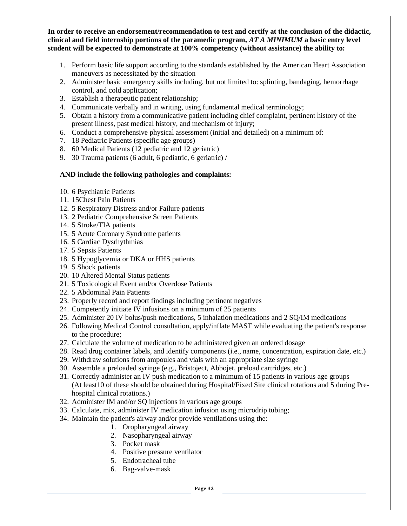**In order to receive an endorsement/recommendation to test and certify at the conclusion of the didactic, clinical and field internship portions of the paramedic program,** *AT A MINIMUM* **a basic entry level student will be expected to demonstrate at 100% competency (without assistance) the ability to:**

- 1. Perform basic life support according to the standards established by the American Heart Association maneuvers as necessitated by the situation
- 2. Administer basic emergency skills including, but not limited to: splinting, bandaging, hemorrhage control, and cold application;
- 3. Establish a therapeutic patient relationship;
- 4. Communicate verbally and in writing, using fundamental medical terminology;
- 5. Obtain a history from a communicative patient including chief complaint, pertinent history of the present illness, past medical history, and mechanism of injury;
- 6. Conduct a comprehensive physical assessment (initial and detailed) on a minimum of:
- 7. 18 Pediatric Patients (specific age groups)
- 8. 60 Medical Patients (12 pediatric and 12 geriatric)
- 9. 30 Trauma patients (6 adult, 6 pediatric, 6 geriatric) /

#### **AND include the following pathologies and complaints:**

- 10. 6 Psychiatric Patients
- 11. 15Chest Pain Patients
- 12. 5 Respiratory Distress and/or Failure patients
- 13. 2 Pediatric Comprehensive Screen Patients
- 14. 5 Stroke/TIA patients
- 15. 5 Acute Coronary Syndrome patients
- 16. 5 Cardiac Dysrhythmias
- 17. 5 Sepsis Patients
- 18. 5 Hypoglycemia or DKA or HHS patients
- 19. 5 Shock patients
- 20. 10 Altered Mental Status patients
- 21. 5 Toxicological Event and/or Overdose Patients
- 22. 5 Abdominal Pain Patients
- 23. Properly record and report findings including pertinent negatives
- 24. Competently initiate IV infusions on a minimum of 25 patients
- 25. Administer 20 IV bolus/push medications, 5 inhalation medications and 2 SQ/IM medications
- 26. Following Medical Control consultation, apply/inflate MAST while evaluating the patient's response to the procedure;
- 27. Calculate the volume of medication to be administered given an ordered dosage
- 28. Read drug container labels, and identify components (i.e., name, concentration, expiration date, etc.)
- 29. Withdraw solutions from ampoules and vials with an appropriate size syringe
- 30. Assemble a preloaded syringe (e.g., Bristoject, Abbojet, preload cartridges, etc.)
- 31. Correctly administer an IV push medication to a minimum of 15 patients in various age groups (At least10 of these should be obtained during Hospital/Fixed Site clinical rotations and 5 during Prehospital clinical rotations.)
- 32. Administer IM and/or SQ injections in various age groups
- 33. Calculate, mix, administer IV medication infusion using microdrip tubing;
- 34. Maintain the patient's airway and/or provide ventilations using the:
	- 1. Oropharyngeal airway
	- 2. Nasopharyngeal airway
	- 3. Pocket mask
	- 4. Positive pressure ventilator
	- 5. Endotracheal tube
	- 6. Bag-valve-mask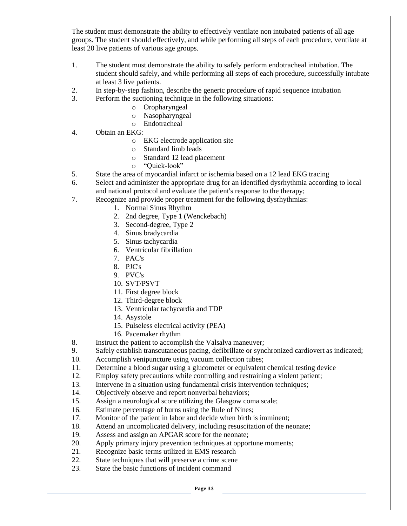The student must demonstrate the ability to effectively ventilate non intubated patients of all age groups. The student should effectively, and while performing all steps of each procedure, ventilate at least 20 live patients of various age groups.

- 1. The student must demonstrate the ability to safely perform endotracheal intubation. The student should safely, and while performing all steps of each procedure, successfully intubate at least 3 live patients.
- 2. In step-by-step fashion, describe the generic procedure of rapid sequence intubation
- 3. Perform the suctioning technique in the following situations:
	- o Oropharyngeal
	- o Nasopharyngeal
	- o Endotracheal
- 4. Obtain an EKG:
	- o EKG electrode application site
	- o Standard limb leads
	- o Standard 12 lead placement
	- o "Quick-look"
- 5. State the area of myocardial infarct or ischemia based on a 12 lead EKG tracing
- 6. Select and administer the appropriate drug for an identified dysrhythmia according to local and national protocol and evaluate the patient's response to the therapy;
- 7. Recognize and provide proper treatment for the following dysrhythmias:
	- 1. Normal Sinus Rhythm
	- 2. 2nd degree, Type 1 (Wenckebach)
	- 3. Second-degree, Type 2
	- 4. Sinus bradycardia
	- 5. Sinus tachycardia
	- 6. Ventricular fibrillation
	- 7. PAC's
	- 8. PJC's
	- 9. PVC's
	- 10. SVT/PSVT
	- 11. First degree block
	- 12. Third-degree block
	- 13. Ventricular tachycardia and TDP
	- 14. Asystole
	- 15. Pulseless electrical activity (PEA)
	- 16. Pacemaker rhythm
- 8. Instruct the patient to accomplish the Valsalva maneuver;
- 9. Safely establish transcutaneous pacing, defibrillate or synchronized cardiovert as indicated;
- 10. Accomplish venipuncture using vacuum collection tubes;
- 11. Determine a blood sugar using a glucometer or equivalent chemical testing device
- 12. Employ safety precautions while controlling and restraining a violent patient;
- 13. Intervene in a situation using fundamental crisis intervention techniques;
- 14. Objectively observe and report nonverbal behaviors;
- 15. Assign a neurological score utilizing the Glasgow coma scale;
- 16. Estimate percentage of burns using the Rule of Nines;
- 17. Monitor of the patient in labor and decide when birth is imminent;
- 18. Attend an uncomplicated delivery, including resuscitation of the neonate;
- 19. Assess and assign an APGAR score for the neonate;
- 20. Apply primary injury prevention techniques at opportune moments;
- 21. Recognize basic terms utilized in EMS research
- 22. State techniques that will preserve a crime scene
- 23. State the basic functions of incident command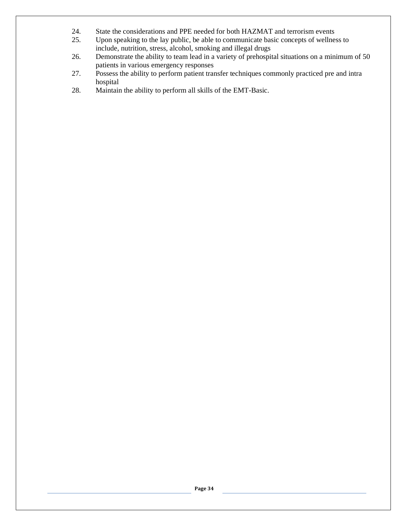- 24. State the considerations and PPE needed for both HAZMAT and terrorism events
- 25. Upon speaking to the lay public, be able to communicate basic concepts of wellness to include, nutrition, stress, alcohol, smoking and illegal drugs
- 26. Demonstrate the ability to team lead in a variety of prehospital situations on a minimum of 50 patients in various emergency responses
- 27. Possess the ability to perform patient transfer techniques commonly practiced pre and intra hospital
- 28. Maintain the ability to perform all skills of the EMT-Basic.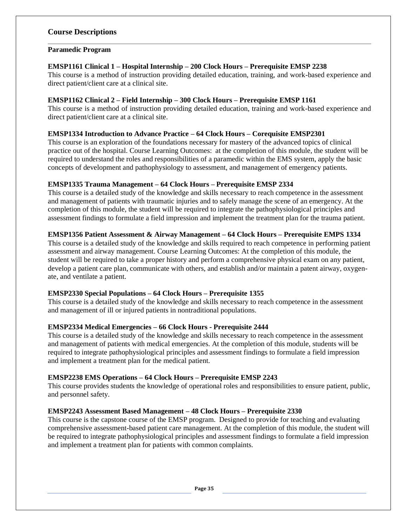#### **Course Descriptions**

#### **Paramedic Program**

#### **EMSP1161 Clinical 1 – Hospital Internship – 200 Clock Hours – Prerequisite EMSP 2238**

This course is a method of instruction providing detailed education, training, and work-based experience and direct patient/client care at a clinical site.

#### **EMSP1162 Clinical 2 – Field Internship – 300 Clock Hours – Prerequisite EMSP 1161**

This course is a method of instruction providing detailed education, training and work-based experience and direct patient/client care at a clinical site.

#### **EMSP1334 Introduction to Advance Practice – 64 Clock Hours – Corequisite EMSP2301**

This course is an exploration of the foundations necessary for mastery of the advanced topics of clinical practice out of the hospital. Course Learning Outcomes: at the completion of this module, the student will be required to understand the roles and responsibilities of a paramedic within the EMS system, apply the basic concepts of development and pathophysiology to assessment, and management of emergency patients.

#### **EMSP1335 Trauma Management – 64 Clock Hours – Prerequisite EMSP 2334**

This course is a detailed study of the knowledge and skills necessary to reach competence in the assessment and management of patients with traumatic injuries and to safely manage the scene of an emergency. At the completion of this module, the student will be required to integrate the pathophysiological principles and assessment findings to formulate a field impression and implement the treatment plan for the trauma patient.

#### **EMSP1356 Patient Assessment & Airway Management – 64 Clock Hours – Prerequisite EMPS 1334**

This course is a detailed study of the knowledge and skills required to reach competence in performing patient assessment and airway management. Course Learning Outcomes: At the completion of this module, the student will be required to take a proper history and perform a comprehensive physical exam on any patient, develop a patient care plan, communicate with others, and establish and/or maintain a patent airway, oxygenate, and ventilate a patient.

#### **EMSP2330 Special Populations – 64 Clock Hours – Prerequisite 1355**

This course is a detailed study of the knowledge and skills necessary to reach competence in the assessment and management of ill or injured patients in nontraditional populations.

#### **EMSP2334 Medical Emergencies – 66 Clock Hours - Prerequisite 2444**

This course is a detailed study of the knowledge and skills necessary to reach competence in the assessment and management of patients with medical emergencies. At the completion of this module, students will be required to integrate pathophysiological principles and assessment findings to formulate a field impression and implement a treatment plan for the medical patient.

#### **EMSP2238 EMS Operations – 64 Clock Hours – Prerequisite EMSP 2243**

This course provides students the knowledge of operational roles and responsibilities to ensure patient, public, and personnel safety.

#### **EMSP2243 Assessment Based Management – 48 Clock Hours – Prerequisite 2330**

This course is the capstone course of the EMSP program. Designed to provide for teaching and evaluating comprehensive assessment-based patient care management. At the completion of this module, the student will be required to integrate pathophysiological principles and assessment findings to formulate a field impression and implement a treatment plan for patients with common complaints.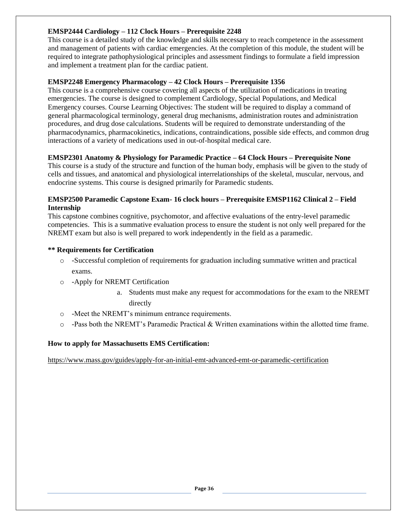#### **EMSP2444 Cardiology – 112 Clock Hours – Prerequisite 2248**

This course is a detailed study of the knowledge and skills necessary to reach competence in the assessment and management of patients with cardiac emergencies. At the completion of this module, the student will be required to integrate pathophysiological principles and assessment findings to formulate a field impression and implement a treatment plan for the cardiac patient.

#### **EMSP2248 Emergency Pharmacology – 42 Clock Hours – Prerequisite 1356**

This course is a comprehensive course covering all aspects of the utilization of medications in treating emergencies. The course is designed to complement Cardiology, Special Populations, and Medical Emergency courses. Course Learning Objectives: The student will be required to display a command of general pharmacological terminology, general drug mechanisms, administration routes and administration procedures, and drug dose calculations. Students will be required to demonstrate understanding of the pharmacodynamics, pharmacokinetics, indications, contraindications, possible side effects, and common drug interactions of a variety of medications used in out-of-hospital medical care.

#### **EMSP2301 Anatomy & Physiology for Paramedic Practice – 64 Clock Hours – Prerequisite None**

This course is a study of the structure and function of the human body, emphasis will be given to the study of cells and tissues, and anatomical and physiological interrelationships of the skeletal, muscular, nervous, and endocrine systems. This course is designed primarily for Paramedic students.

#### **EMSP2500 Paramedic Capstone Exam- 16 clock hours – Prerequisite EMSP1162 Clinical 2 – Field Internship**

This capstone combines cognitive, psychomotor, and affective evaluations of the entry-level paramedic competencies. This is a summative evaluation process to ensure the student is not only well prepared for the NREMT exam but also is well prepared to work independently in the field as a paramedic.

#### **\*\* Requirements for Certification**

- o -Successful completion of requirements for graduation including summative written and practical exams.
- o -Apply for NREMT Certification
	- a. Students must make any request for accommodations for the exam to the NREMT directly
- o -Meet the NREMT's minimum entrance requirements.
- o -Pass both the NREMT's Paramedic Practical & Written examinations within the allotted time frame.

#### **How to apply for Massachusetts EMS Certification:**

<https://www.mass.gov/guides/apply-for-an-initial-emt-advanced-emt-or-paramedic-certification>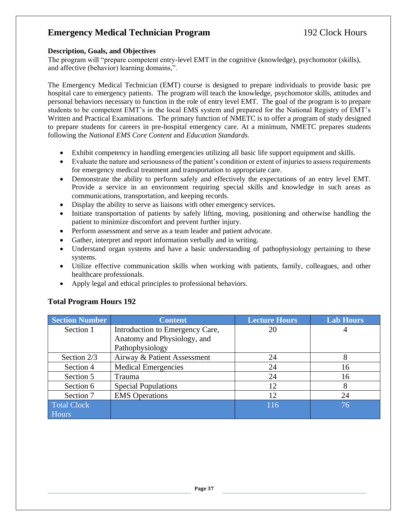# **Emergency Medical Technician Program** 192 Clock Hours

#### **Description, Goals, and Objectives**

The program will "prepare competent entry-level EMT in the cognitive (knowledge), psychomotor (skills), and affective (behavior) learning domains,".

The Emergency Medical Technician (EMT) course is designed to prepare individuals to provide basic pre hospital care to emergency patients. The program will teach the knowledge, psychomotor skills, attitudes and personal behaviors necessary to function in the role of entry level EMT. The goal of the program is to prepare students to be competent EMT's in the local EMS system and prepared for the National Registry of EMT's Written and Practical Examinations. The primary function of NMETC is to offer a program of study designed to prepare students for careers in pre-hospital emergency care. At a minimum, NMETC prepares students following the *National EMS Core Content* and *Education Standards.*

- Exhibit competency in handling emergencies utilizing all basic life support equipment and skills.
- Evaluate the nature and seriousness of the patient's condition or extent of injuries to assess requirements for emergency medical treatment and transportation to appropriate care.
- Demonstrate the ability to perform safely and effectively the expectations of an entry level EMT. Provide a service in an environment requiring special skills and knowledge in such areas as communications, transportation, and keeping records.
- Display the ability to serve as liaisons with other emergency services.
- Initiate transportation of patients by safely lifting, moving, positioning and otherwise handling the patient to minimize discomfort and prevent further injury.
- Perform assessment and serve as a team leader and patient advocate.
- Gather, interpret and report information verbally and in writing.
- Understand organ systems and have a basic understanding of pathophysiology pertaining to these systems.
- Utilize effective communication skills when working with patients, family, colleagues, and other healthcare professionals.
- Apply legal and ethical principles to professional behaviors.

| <b>Section Number</b> | <b>Content</b>                  | <b>Lecture Hours</b> | <b>Lab Hours</b> |
|-----------------------|---------------------------------|----------------------|------------------|
| Section 1             | Introduction to Emergency Care, | 20                   | 4                |
|                       | Anatomy and Physiology, and     |                      |                  |
|                       | Pathophysiology                 |                      |                  |
| Section 2/3           | Airway & Patient Assessment     | 24                   | 8                |
| Section 4             | <b>Medical Emergencies</b>      | 24                   | 16               |
| Section 5             | Trauma                          | 24                   | 16               |
| Section 6             | <b>Special Populations</b>      | 12                   | 8                |
| Section 7             | <b>EMS</b> Operations           | 12                   | 24               |
| <b>Total Clock</b>    |                                 | 116                  | 76               |
| Hours                 |                                 |                      |                  |

### **Total Program Hours 192**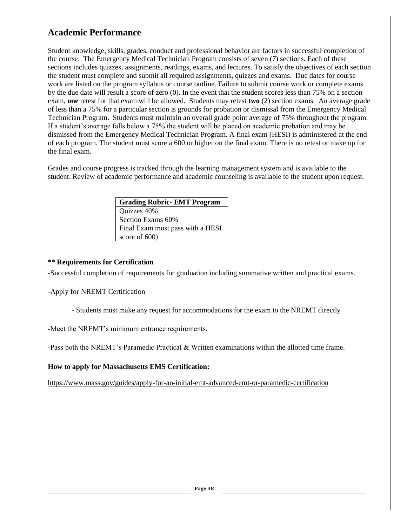# **Academic Performance**

Student knowledge, skills, grades, conduct and professional behavior are factors in successful completion of the course. The Emergency Medical Technician Program consists of seven (7) sections. Each of these sections includes quizzes, assignments, readings, exams, and lectures. To satisfy the objectives of each section the student must complete and submit all required assignments, quizzes and exams. Due dates for course work are listed on the program syllabus or course outline. Failure to submit course work or complete exams by the due date will result a score of zero (0). In the event that the student scores less than 75% on a section exam, **one** retest for that exam will be allowed. Students may retest **two** (2) section exams. An average grade of less than a 75% for a particular section is grounds for probation or dismissal from the Emergency Medical Technician Program. Students must maintain an overall grade point average of 75% throughout the program. If a student's average falls below a 75% the student will be placed on academic probation and may be dismissed from the Emergency Medical Technician Program. A final exam (HESI) is administered at the end of each program. The student must score a 600 or higher on the final exam. There is no retest or make up for the final exam.

Grades and course progress is tracked through the learning management system and is available to the student. Review of academic performance and academic counseling is available to the student upon request.

| <b>Grading Rubric- EMT Program</b> |
|------------------------------------|
| Quizzes 40%                        |
| Section Exams 60%                  |
| Final Exam must pass with a HESI   |
| score of $600$ )                   |

#### **\*\* Requirements for Certification**

-Successful completion of requirements for graduation including summative written and practical exams.

-Apply for NREMT Certification

- Students must make any request for accommodations for the exam to the NREMT directly

-Meet the NREMT's minimum entrance requirements.

-Pass both the NREMT's Paramedic Practical & Written examinations within the allotted time frame.

**How to apply for Massachusetts EMS Certification:**

<https://www.mass.gov/guides/apply-for-an-initial-emt-advanced-emt-or-paramedic-certification>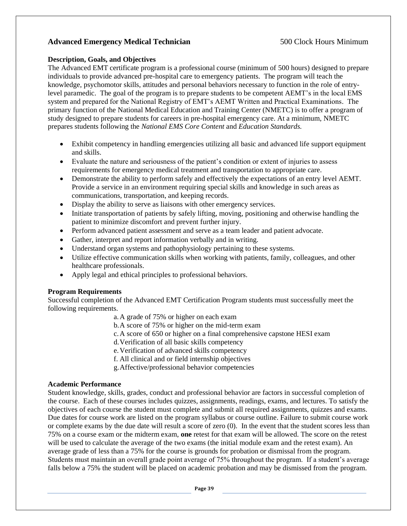#### Advanced Emergency Medical Technician 500 Clock Hours Minimum

#### **Description, Goals, and Objectives**

The Advanced EMT certificate program is a professional course (minimum of 500 hours) designed to prepare individuals to provide advanced pre-hospital care to emergency patients. The program will teach the knowledge, psychomotor skills, attitudes and personal behaviors necessary to function in the role of entrylevel paramedic. The goal of the program is to prepare students to be competent AEMT's in the local EMS system and prepared for the National Registry of EMT's AEMT Written and Practical Examinations. The primary function of the National Medical Education and Training Center (NMETC) is to offer a program of study designed to prepare students for careers in pre-hospital emergency care. At a minimum, NMETC prepares students following the *National EMS Core Content* and *Education Standards.*

- Exhibit competency in handling emergencies utilizing all basic and advanced life support equipment and skills.
- Evaluate the nature and seriousness of the patient's condition or extent of injuries to assess requirements for emergency medical treatment and transportation to appropriate care.
- Demonstrate the ability to perform safely and effectively the expectations of an entry level AEMT. Provide a service in an environment requiring special skills and knowledge in such areas as communications, transportation, and keeping records.
- Display the ability to serve as liaisons with other emergency services.
- Initiate transportation of patients by safely lifting, moving, positioning and otherwise handling the patient to minimize discomfort and prevent further injury.
- Perform advanced patient assessment and serve as a team leader and patient advocate.
- Gather, interpret and report information verbally and in writing.
- Understand organ systems and pathophysiology pertaining to these systems.
- Utilize effective communication skills when working with patients, family, colleagues, and other healthcare professionals.
- Apply legal and ethical principles to professional behaviors.

#### **Program Requirements**

Successful completion of the Advanced EMT Certification Program students must successfully meet the following requirements.

a.A grade of 75% or higher on each exam

- b.A score of 75% or higher on the mid-term exam
- c.A score of 650 or higher on a final comprehensive capstone HESI exam
- d.Verification of all basic skills competency
- e.Verification of advanced skills competency
- f. All clinical and or field internship objectives
- g.Affective/professional behavior competencies

#### **Academic Performance**

Student knowledge, skills, grades, conduct and professional behavior are factors in successful completion of the course. Each of these courses includes quizzes, assignments, readings, exams, and lectures. To satisfy the objectives of each course the student must complete and submit all required assignments, quizzes and exams. Due dates for course work are listed on the program syllabus or course outline. Failure to submit course work or complete exams by the due date will result a score of zero (0). In the event that the student scores less than 75% on a course exam or the midterm exam, **one** retest for that exam will be allowed. The score on the retest will be used to calculate the average of the two exams (the initial module exam and the retest exam). An average grade of less than a 75% for the course is grounds for probation or dismissal from the program. Students must maintain an overall grade point average of 75% throughout the program. If a student's average falls below a 75% the student will be placed on academic probation and may be dismissed from the program.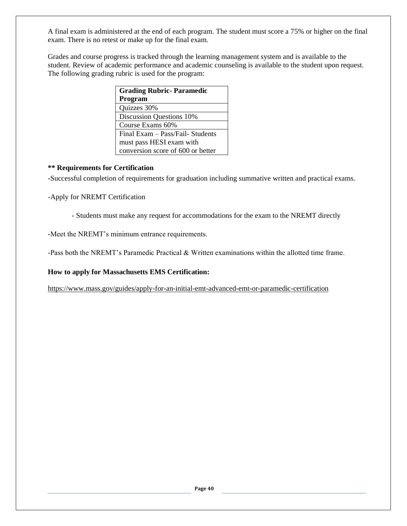A final exam is administered at the end of each program. The student must score a 75% or higher on the final exam. There is no retest or make up for the final exam.

Grades and course progress is tracked through the learning management system and is available to the student. Review of academic performance and academic counseling is available to the student upon request. The following grading rubric is used for the program:

| <b>Grading Rubric-Paramedic</b>   |
|-----------------------------------|
| Program                           |
| Quizzes 30%                       |
| <b>Discussion Questions 10%</b>   |
| Course Exams 60%                  |
| Final Exam - Pass/Fail- Students  |
| must pass HESI exam with          |
| conversion score of 600 or better |

#### **\*\* Requirements for Certification**

-Successful completion of requirements for graduation including summative written and practical exams.

-Apply for NREMT Certification

- Students must make any request for accommodations for the exam to the NREMT directly

-Meet the NREMT's minimum entrance requirements.

-Pass both the NREMT's Paramedic Practical & Written examinations within the allotted time frame.

**How to apply for Massachusetts EMS Certification:**

<https://www.mass.gov/guides/apply-for-an-initial-emt-advanced-emt-or-paramedic-certification>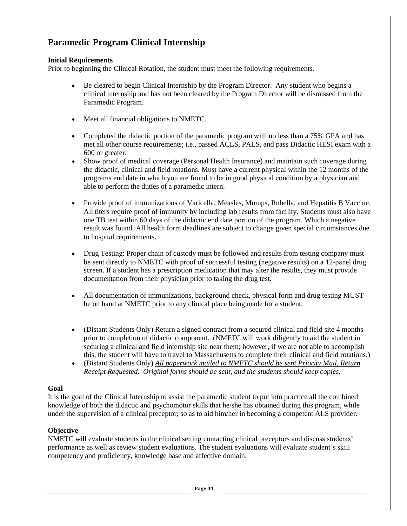# **Paramedic Program Clinical Internship**

#### **Initial Requirements**

Prior to beginning the Clinical Rotation, the student must meet the following requirements.

- Be cleared to begin Clinical Internship by the Program Director. Any student who begins a clinical internship and has not been cleared by the Program Director will be dismissed from the Paramedic Program.
- Meet all financial obligations to NMETC.
- Completed the didactic portion of the paramedic program with no less than a 75% GPA and has met all other course requirements; i.e., passed ACLS, PALS, and pass Didactic HESI exam with a 600 or greater.
- Show proof of medical coverage (Personal Health Insurance) and maintain such coverage during the didactic, clinical and field rotations. Must have a current physical within the 12 months of the programs end date in which you are found to be in good physical condition by a physician and able to perform the duties of a paramedic intern.
- Provide proof of immunizations of Varicella, Measles, Mumps, Rubella, and Hepatitis B Vaccine. All titers require proof of immunity by including lab results from facility. Students must also have one TB test within 60 days of the didactic end date portion of the program. Which a negative result was found. All health form deadlines are subject to change given special circumstances due to hospital requirements.
- Drug Testing: Proper chain of custody must be followed and results from testing company must be sent directly to NMETC with proof of successful testing (negative results) on a 12-panel drug screen. If a student has a prescription medication that may alter the results, they must provide documentation from their physician prior to taking the drug test.
- All documentation of immunizations, background check, physical form and drug testing MUST be on hand at NMETC prior to any clinical place being made for a student.
- (Distant Students Only) Return a signed contract from a secured clinical and field site 4 months prior to completion of didactic component. (NMETC will work diligently to aid the student in securing a clinical and field internship site near them; however, if we are not able to accomplish this, the student will have to travel to Massachusetts to complete their clinical and field rotations.)
- (Distant Students Only) *All paperwork mailed to NMETC should be sent Priority Mail, Return Receipt Requested. Original forms should be sent, and the students should keep copies.*

#### **Goal**

It is the goal of the Clinical Internship to assist the paramedic student to put into practice all the combined knowledge of both the didactic and psychomotor skills that he/she has obtained during this program, while under the supervision of a clinical preceptor; so as to aid him/her in becoming a competent ALS provider.

#### **Objective**

NMETC will evaluate students in the clinical setting contacting clinical preceptors and discuss students' performance as well as review student evaluations. The student evaluations will evaluate student's skill competency and proficiency, knowledge base and affective domain.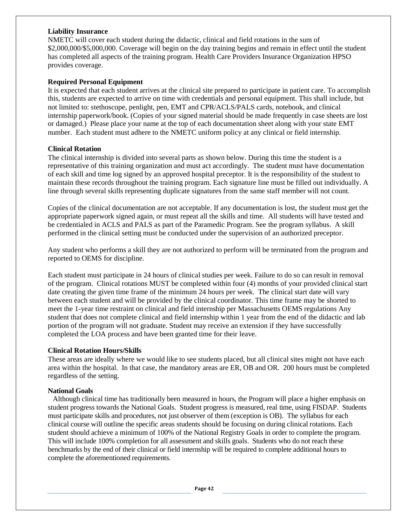#### **Liability Insurance**

NMETC will cover each student during the didactic, clinical and field rotations in the sum of \$2,000,000/\$5,000,000. Coverage will begin on the day training begins and remain in effect until the student has completed all aspects of the training program. Health Care Providers Insurance Organization HPSO provides coverage.

#### **Required Personal Equipment**

It is expected that each student arrives at the clinical site prepared to participate in patient care. To accomplish this, students are expected to arrive on time with credentials and personal equipment. This shall include, but not limited to: stethoscope, penlight, pen, EMT and CPR/ACLS/PALS cards, notebook, and clinical internship paperwork/book. (Copies of your signed material should be made frequently in case sheets are lost or damaged.) Please place your name at the top of each documentation sheet along with your state EMT number. Each student must adhere to the NMETC uniform policy at any clinical or field internship.

#### **Clinical Rotation**

The clinical internship is divided into several parts as shown below. During this time the student is a representative of this training organization and must act accordingly. The student must have documentation of each skill and time log signed by an approved hospital preceptor. It is the responsibility of the student to maintain these records throughout the training program. Each signature line must be filled out individually. A line through several skills representing duplicate signatures from the same staff member will not count.

Copies of the clinical documentation are not acceptable. If any documentation is lost, the student must get the appropriate paperwork signed again, or must repeat all the skills and time. All students will have tested and be credentialed in ACLS and PALS as part of the Paramedic Program. See the program syllabus. A skill performed in the clinical setting must be conducted under the supervision of an authorized preceptor.

Any student who performs a skill they are not authorized to perform will be terminated from the program and reported to OEMS for discipline.

Each student must participate in 24 hours of clinical studies per week. Failure to do so can result in removal of the program. Clinical rotations MUST be completed within four (4) months of your provided clinical start date creating the given time frame of the minimum 24 hours per week. The clinical start date will vary between each student and will be provided by the clinical coordinator. This time frame may be shorted to meet the 1-year time restraint on clinical and field internship per Massachusetts OEMS regulations Any student that does not complete clinical and field internship within 1 year from the end of the didactic and lab portion of the program will not graduate. Student may receive an extension if they have successfully completed the LOA process and have been granted time for their leave.

#### **Clinical Rotation Hours/Skills**

These areas are ideally where we would like to see students placed, but all clinical sites might not have each area within the hospital. In that case, the mandatory areas are ER, OB and OR. 200 hours must be completed regardless of the setting.

#### **National Goals**

 Although clinical time has traditionally been measured in hours, the Program will place a higher emphasis on student progress towards the National Goals. Student progress is measured, real time, using FISDAP. Students must participate skills and procedures, not just observer of them (exception is OB). The syllabus for each clinical course will outline the specific areas students should be focusing on during clinical rotations. Each student should achieve a minimum of 100% of the National Registry Goals in order to complete the program. This will include 100% completion for all assessment and skills goals. Students who do not reach these benchmarks by the end of their clinical or field internship will be required to complete additional hours to complete the aforementioned requirements.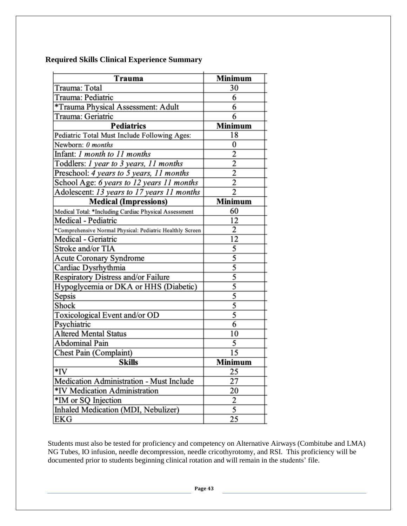|  | <b>Required Skills Clinical Experience Summary</b> |
|--|----------------------------------------------------|
|--|----------------------------------------------------|

| Trauma                                                    | Minimum                 |
|-----------------------------------------------------------|-------------------------|
| Trauma: Total                                             | 30                      |
| Trauma: Pediatric                                         | 6                       |
| *Trauma Physical Assessment: Adult                        | 6                       |
| Trauma: Geriatric                                         | 6                       |
| <b>Pediatrics</b>                                         | Minimum                 |
| Pediatric Total Must Include Following Ages:              | 18                      |
| Newborn: 0 months                                         | 0                       |
| Infant: <i>I month to 11 months</i>                       | $\overline{2}$          |
| Toddlers: <i>1 year to 3 years</i> , 11 months            | $\overline{2}$          |
| Preschool: 4 years to 5 years, 11 months                  | $\overline{2}$          |
| School Age: 6 years to 12 years 11 months                 | $\overline{2}$          |
| Adolescent: 13 years to 17 years 11 months                | $\overline{2}$          |
| <b>Medical (Impressions)</b>                              | Minimum                 |
| Medical Total: *Including Cardiac Physical Assessment     | 60                      |
| Medical - Pediatric                                       | 12                      |
| *Comprehensive Normal Physical: Pediatric Healthly Screen | $\overline{2}$          |
| Medical - Geriatric                                       | 12                      |
| Stroke and/or TIA                                         | 5                       |
| <b>Acute Coronary Syndrome</b>                            | $\overline{5}$          |
| Cardiac Dysrhythmia                                       | $\overline{5}$          |
| Respiratory Distress and/or Failure                       | $\overline{5}$          |
| Hypoglycemia or DKA or HHS (Diabetic)                     | 5                       |
| Sepsis                                                    | 5                       |
| Shock                                                     | 5                       |
| Toxicological Event and/or OD                             | 5                       |
| Psychiatric                                               | $\overline{6}$          |
| <b>Altered Mental Status</b>                              | 10                      |
| <b>Abdominal Pain</b>                                     | 5                       |
| Chest Pain (Complaint)                                    | 15                      |
| Skills                                                    | Minimum                 |
| *IV                                                       | 25                      |
| Medication Administration - Must Include                  | 27                      |
| *IV Medication Administration                             | 20                      |
| *IM or SQ Injection                                       | $\overline{\mathbf{c}}$ |
| Inhaled Medication (MDI, Nebulizer)                       | 5                       |
| EKG                                                       | 25                      |

Students must also be tested for proficiency and competency on Alternative Airways (Combitube and LMA) NG Tubes, IO infusion, needle decompression, needle cricothyrotomy, and RSI. This proficiency will be documented prior to students beginning clinical rotation and will remain in the students' file.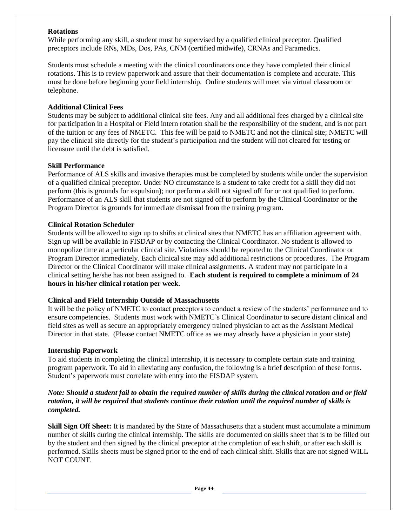#### **Rotations**

While performing any skill, a student must be supervised by a qualified clinical preceptor. Qualified preceptors include RNs, MDs, Dos, PAs, CNM (certified midwife), CRNAs and Paramedics.

Students must schedule a meeting with the clinical coordinators once they have completed their clinical rotations. This is to review paperwork and assure that their documentation is complete and accurate. This must be done before beginning your field internship. Online students will meet via virtual classroom or telephone.

#### **Additional Clinical Fees**

Students may be subject to additional clinical site fees. Any and all additional fees charged by a clinical site for participation in a Hospital or Field intern rotation shall be the responsibility of the student, and is not part of the tuition or any fees of NMETC. This fee will be paid to NMETC and not the clinical site; NMETC will pay the clinical site directly for the student's participation and the student will not cleared for testing or licensure until the debt is satisfied.

#### **Skill Performance**

Performance of ALS skills and invasive therapies must be completed by students while under the supervision of a qualified clinical preceptor. Under NO circumstance is a student to take credit for a skill they did not perform (this is grounds for expulsion); nor perform a skill not signed off for or not qualified to perform. Performance of an ALS skill that students are not signed off to perform by the Clinical Coordinator or the Program Director is grounds for immediate dismissal from the training program.

#### **Clinical Rotation Scheduler**

Students will be allowed to sign up to shifts at clinical sites that NMETC has an affiliation agreement with. Sign up will be available in FISDAP or by contacting the Clinical Coordinator. No student is allowed to monopolize time at a particular clinical site. Violations should be reported to the Clinical Coordinator or Program Director immediately. Each clinical site may add additional restrictions or procedures. The Program Director or the Clinical Coordinator will make clinical assignments. A student may not participate in a clinical setting he/she has not been assigned to. **Each student is required to complete a minimum of 24 hours in his/her clinical rotation per week.**

#### **Clinical and Field Internship Outside of Massachusetts**

It will be the policy of NMETC to contact preceptors to conduct a review of the students' performance and to ensure competencies. Students must work with NMETC's Clinical Coordinator to secure distant clinical and field sites as well as secure an appropriately emergency trained physician to act as the Assistant Medical Director in that state. (Please contact NMETC office as we may already have a physician in your state)

#### **Internship Paperwork**

To aid students in completing the clinical internship, it is necessary to complete certain state and training program paperwork. To aid in alleviating any confusion, the following is a brief description of these forms. Student's paperwork must correlate with entry into the FISDAP system.

#### *Note: Should a student fail to obtain the required number of skills during the clinical rotation and or field rotation, it will be required that students continue their rotation until the required number of skills is completed.*

**Skill Sign Off Sheet:** It is mandated by the State of Massachusetts that a student must accumulate a minimum number of skills during the clinical internship. The skills are documented on skills sheet that is to be filled out by the student and then signed by the clinical preceptor at the completion of each shift, or after each skill is performed. Skills sheets must be signed prior to the end of each clinical shift. Skills that are not signed WILL NOT COUNT.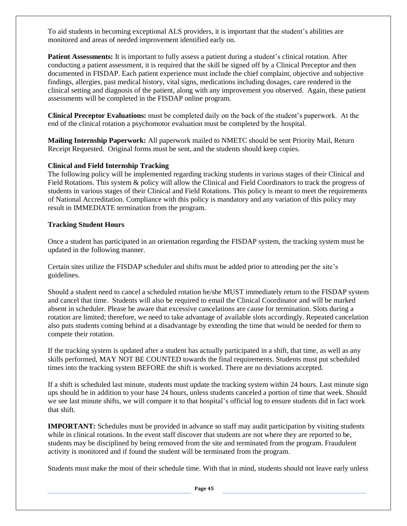To aid students in becoming exceptional ALS providers, it is important that the student's abilities are monitored and areas of needed improvement identified early on.

**Patient Assessments:** It is important to fully assess a patient during a student's clinical rotation. After conducting a patient assessment, it is required that the skill be signed off by a Clinical Preceptor and then documented in FISDAP. Each patient experience must include the chief complaint, objective and subjective findings, allergies, past medical history, vital signs, medications including dosages, care rendered in the clinical setting and diagnosis of the patient, along with any improvement you observed. Again, these patient assessments will be completed in the FISDAP online program.

**Clinical Preceptor Evaluations:** must be completed daily on the back of the student's paperwork. At the end of the clinical rotation a psychomotor evaluation must be completed by the hospital.

**Mailing Internship Paperwork:** All paperwork mailed to NMETC should be sent Priority Mail, Return Receipt Requested. Original forms must be sent, and the students should keep copies.

#### **Clinical and Field Internship Tracking**

The following policy will be implemented regarding tracking students in various stages of their Clinical and Field Rotations. This system  $\&$  policy will allow the Clinical and Field Coordinators to track the progress of students in various stages of their Clinical and Field Rotations. This policy is meant to meet the requirements of National Accreditation. Compliance with this policy is mandatory and any variation of this policy may result in IMMEDIATE termination from the program.

#### **Tracking Student Hours**

Once a student has participated in an orientation regarding the FISDAP system, the tracking system must be updated in the following manner.

Certain sites utilize the FISDAP scheduler and shifts must be added prior to attending per the site's guidelines.

Should a student need to cancel a scheduled rotation he/she MUST immediately return to the FISDAP system and cancel that time. Students will also be required to email the Clinical Coordinator and will be marked absent in scheduler. Please be aware that excessive cancelations are cause for termination. Slots during a rotation are limited; therefore, we need to take advantage of available slots accordingly. Repeated cancelation also puts students coming behind at a disadvantage by extending the time that would be needed for them to compete their rotation.

If the tracking system is updated after a student has actually participated in a shift, that time, as well as any skills performed, MAY NOT BE COUNTED towards the final requirements. Students must put scheduled times into the tracking system BEFORE the shift is worked. There are no deviations accepted.

If a shift is scheduled last minute, students must update the tracking system within 24 hours. Last minute sign ups should be in addition to your base 24 hours, unless students canceled a portion of time that week. Should we see last minute shifts, we will compare it to that hospital's official log to ensure students did in fact work that shift.

**IMPORTANT***:* Schedules must be provided in advance so staff may audit participation by visiting students while in clinical rotations. In the event staff discover that students are not where they are reported to be, students may be disciplined by being removed from the site and terminated from the program. Fraudulent activity is monitored and if found the student will be terminated from the program.

Students must make the most of their schedule time. With that in mind, students should not leave early unless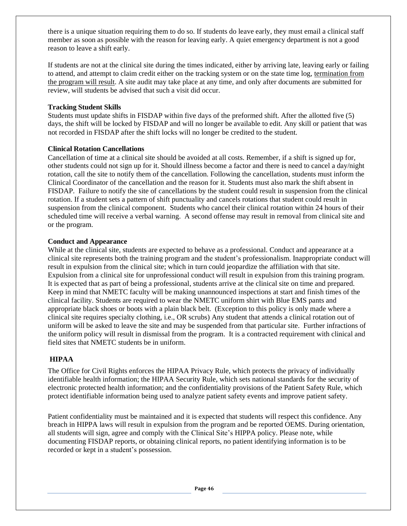there is a unique situation requiring them to do so. If students do leave early, they must email a clinical staff member as soon as possible with the reason for leaving early. A quiet emergency department is not a good reason to leave a shift early.

If students are not at the clinical site during the times indicated, either by arriving late, leaving early or failing to attend, and attempt to claim credit either on the tracking system or on the state time log, termination from the program will result. A site audit may take place at any time, and only after documents are submitted for review, will students be advised that such a visit did occur.

#### **Tracking Student Skills**

Students must update shifts in FISDAP within five days of the preformed shift. After the allotted five (5) days, the shift will be locked by FISDAP and will no longer be available to edit. Any skill or patient that was not recorded in FISDAP after the shift locks will no longer be credited to the student.

#### **Clinical Rotation Cancellations**

Cancellation of time at a clinical site should be avoided at all costs. Remember, if a shift is signed up for, other students could not sign up for it. Should illness become a factor and there is need to cancel a day/night rotation, call the site to notify them of the cancellation. Following the cancellation, students must inform the Clinical Coordinator of the cancellation and the reason for it. Students must also mark the shift absent in FISDAP. Failure to notify the site of cancellations by the student could result in suspension from the clinical rotation. If a student sets a pattern of shift punctuality and cancels rotations that student could result in suspension from the clinical component. Students who cancel their clinical rotation within 24 hours of their scheduled time will receive a verbal warning. A second offense may result in removal from clinical site and or the program.

#### **Conduct and Appearance**

While at the clinical site, students are expected to behave as a professional. Conduct and appearance at a clinical site represents both the training program and the student's professionalism. Inappropriate conduct will result in expulsion from the clinical site; which in turn could jeopardize the affiliation with that site. Expulsion from a clinical site for unprofessional conduct will result in expulsion from this training program. It is expected that as part of being a professional, students arrive at the clinical site on time and prepared. Keep in mind that NMETC faculty will be making unannounced inspections at start and finish times of the clinical facility. Students are required to wear the NMETC uniform shirt with Blue EMS pants and appropriate black shoes or boots with a plain black belt. (Exception to this policy is only made where a clinical site requires specialty clothing, i.e., OR scrubs) Any student that attends a clinical rotation out of uniform will be asked to leave the site and may be suspended from that particular site. Further infractions of the uniform policy will result in dismissal from the program. It is a contracted requirement with clinical and field sites that NMETC students be in uniform.

#### **HIPAA**

The Office for Civil Rights enforces the HIPAA Privacy Rule, which protects the privacy of individually identifiable health information; the HIPAA Security Rule, which sets national standards for the security of electronic protected health information; and the confidentiality provisions of the Patient Safety Rule, which protect identifiable information being used to analyze patient safety events and improve patient safety.

Patient confidentiality must be maintained and it is expected that students will respect this confidence. Any breach in HIPPA laws will result in expulsion from the program and be reported OEMS. During orientation, all students will sign, agree and comply with the Clinical Site's HIPPA policy. Please note, while documenting FISDAP reports, or obtaining clinical reports, no patient identifying information is to be recorded or kept in a student's possession.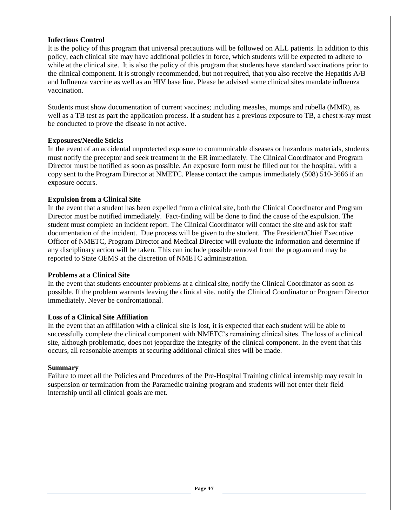#### **Infectious Control**

It is the policy of this program that universal precautions will be followed on ALL patients. In addition to this policy, each clinical site may have additional policies in force, which students will be expected to adhere to while at the clinical site. It is also the policy of this program that students have standard vaccinations prior to the clinical component. It is strongly recommended, but not required, that you also receive the Hepatitis A/B and Influenza vaccine as well as an HIV base line. Please be advised some clinical sites mandate influenza vaccination.

Students must show documentation of current vaccines; including measles, mumps and rubella (MMR), as well as a TB test as part the application process. If a student has a previous exposure to TB, a chest x-ray must be conducted to prove the disease in not active.

#### **Exposures/Needle Sticks**

In the event of an accidental unprotected exposure to communicable diseases or hazardous materials, students must notify the preceptor and seek treatment in the ER immediately. The Clinical Coordinator and Program Director must be notified as soon as possible. An exposure form must be filled out for the hospital, with a copy sent to the Program Director at NMETC. Please contact the campus immediately (508) 510-3666 if an exposure occurs.

#### **Expulsion from a Clinical Site**

In the event that a student has been expelled from a clinical site, both the Clinical Coordinator and Program Director must be notified immediately. Fact-finding will be done to find the cause of the expulsion. The student must complete an incident report. The Clinical Coordinator will contact the site and ask for staff documentation of the incident. Due process will be given to the student. The President/Chief Executive Officer of NMETC, Program Director and Medical Director will evaluate the information and determine if any disciplinary action will be taken. This can include possible removal from the program and may be reported to State OEMS at the discretion of NMETC administration.

#### **Problems at a Clinical Site**

In the event that students encounter problems at a clinical site, notify the Clinical Coordinator as soon as possible. If the problem warrants leaving the clinical site, notify the Clinical Coordinator or Program Director immediately. Never be confrontational.

#### **Loss of a Clinical Site Affiliation**

In the event that an affiliation with a clinical site is lost, it is expected that each student will be able to successfully complete the clinical component with NMETC's remaining clinical sites. The loss of a clinical site, although problematic, does not jeopardize the integrity of the clinical component. In the event that this occurs, all reasonable attempts at securing additional clinical sites will be made.

#### **Summary**

Failure to meet all the Policies and Procedures of the Pre-Hospital Training clinical internship may result in suspension or termination from the Paramedic training program and students will not enter their field internship until all clinical goals are met.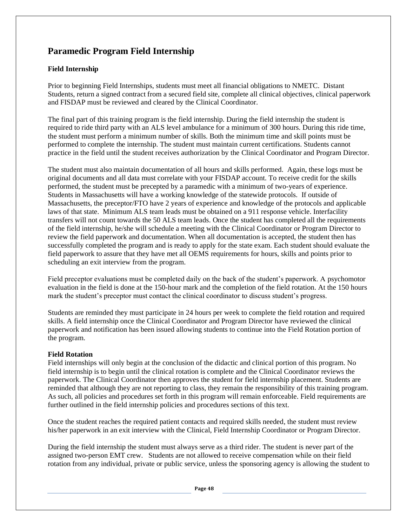# **Paramedic Program Field Internship**

#### **Field Internship**

Prior to beginning Field Internships, students must meet all financial obligations to NMETC. Distant Students, return a signed contract from a secured field site, complete all clinical objectives, clinical paperwork and FISDAP must be reviewed and cleared by the Clinical Coordinator.

The final part of this training program is the field internship. During the field internship the student is required to ride third party with an ALS level ambulance for a minimum of 300 hours. During this ride time, the student must perform a minimum number of skills. Both the minimum time and skill points must be performed to complete the internship. The student must maintain current certifications. Students cannot practice in the field until the student receives authorization by the Clinical Coordinator and Program Director.

The student must also maintain documentation of all hours and skills performed. Again, these logs must be original documents and all data must correlate with your FISDAP account. To receive credit for the skills performed, the student must be precepted by a paramedic with a minimum of two-years of experience. Students in Massachusetts will have a working knowledge of the statewide protocols. If outside of Massachusetts, the preceptor/FTO have 2 years of experience and knowledge of the protocols and applicable laws of that state. Minimum ALS team leads must be obtained on a 911 response vehicle. Interfacility transfers will not count towards the 50 ALS team leads. Once the student has completed all the requirements of the field internship, he/she will schedule a meeting with the Clinical Coordinator or Program Director to review the field paperwork and documentation. When all documentation is accepted, the student then has successfully completed the program and is ready to apply for the state exam. Each student should evaluate the field paperwork to assure that they have met all OEMS requirements for hours, skills and points prior to scheduling an exit interview from the program.

Field preceptor evaluations must be completed daily on the back of the student's paperwork. A psychomotor evaluation in the field is done at the 150-hour mark and the completion of the field rotation. At the 150 hours mark the student's preceptor must contact the clinical coordinator to discuss student's progress.

Students are reminded they must participate in 24 hours per week to complete the field rotation and required skills. A field internship once the Clinical Coordinator and Program Director have reviewed the clinical paperwork and notification has been issued allowing students to continue into the Field Rotation portion of the program.

#### **Field Rotation**

Field internships will only begin at the conclusion of the didactic and clinical portion of this program. No field internship is to begin until the clinical rotation is complete and the Clinical Coordinator reviews the paperwork. The Clinical Coordinator then approves the student for field internship placement. Students are reminded that although they are not reporting to class, they remain the responsibility of this training program. As such, all policies and procedures set forth in this program will remain enforceable. Field requirements are further outlined in the field internship policies and procedures sections of this text.

Once the student reaches the required patient contacts and required skills needed, the student must review his/her paperwork in an exit interview with the Clinical, Field Internship Coordinator or Program Director.

During the field internship the student must always serve as a third rider. The student is never part of the assigned two-person EMT crew. Students are not allowed to receive compensation while on their field rotation from any individual, private or public service, unless the sponsoring agency is allowing the student to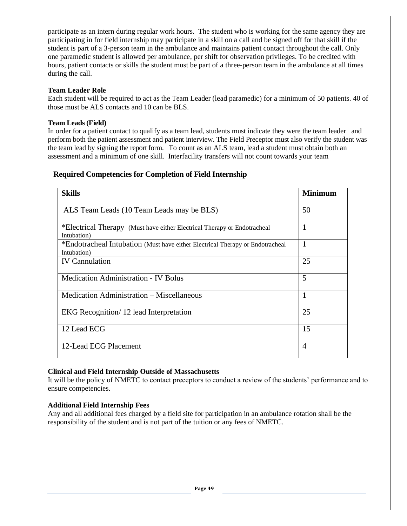participate as an intern during regular work hours. The student who is working for the same agency they are participating in for field internship may participate in a skill on a call and be signed off for that skill if the student is part of a 3-person team in the ambulance and maintains patient contact throughout the call. Only one paramedic student is allowed per ambulance, per shift for observation privileges. To be credited with hours, patient contacts or skills the student must be part of a three-person team in the ambulance at all times during the call.

#### **Team Leader Role**

Each student will be required to act as the Team Leader (lead paramedic) for a minimum of 50 patients. 40 of those must be ALS contacts and 10 can be BLS.

#### **Team Leads (Field)**

In order for a patient contact to qualify as a team lead, students must indicate they were the team leader and perform both the patient assessment and patient interview. The Field Preceptor must also verify the student was the team lead by signing the report form. To count as an ALS team, lead a student must obtain both an assessment and a minimum of one skill. Interfacility transfers will not count towards your team

#### **Required Competencies for Completion of Field Internship**

| <b>Skills</b>                                                                                | <b>Minimum</b> |
|----------------------------------------------------------------------------------------------|----------------|
| ALS Team Leads (10 Team Leads may be BLS)                                                    | 50             |
| *Electrical Therapy (Must have either Electrical Therapy or Endotracheal<br>Intubation)      | $\mathbf{1}$   |
| *Endotracheal Intubation (Must have either Electrical Therapy or Endotracheal<br>Intubation) | $\overline{1}$ |
| <b>IV</b> Cannulation                                                                        | 25             |
| <b>Medication Administration - IV Bolus</b>                                                  | 5              |
| Medication Administration - Miscellaneous                                                    | $\mathbf{1}$   |
| EKG Recognition/12 lead Interpretation                                                       | 25             |
| 12 Lead ECG                                                                                  | 15             |
| 12-Lead ECG Placement                                                                        | $\overline{A}$ |

#### **Clinical and Field Internship Outside of Massachusetts**

It will be the policy of NMETC to contact preceptors to conduct a review of the students' performance and to ensure competencies.

#### **Additional Field Internship Fees**

Any and all additional fees charged by a field site for participation in an ambulance rotation shall be the responsibility of the student and is not part of the tuition or any fees of NMETC.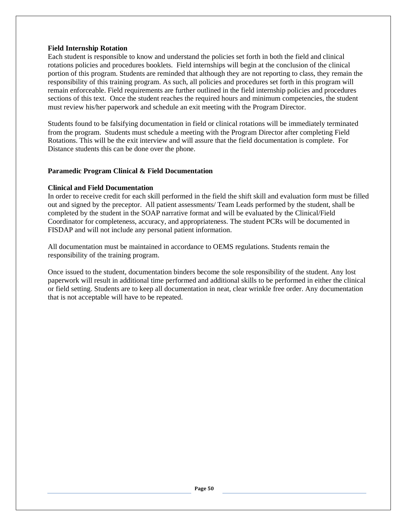#### **Field Internship Rotation**

Each student is responsible to know and understand the policies set forth in both the field and clinical rotations policies and procedures booklets. Field internships will begin at the conclusion of the clinical portion of this program. Students are reminded that although they are not reporting to class, they remain the responsibility of this training program. As such, all policies and procedures set forth in this program will remain enforceable. Field requirements are further outlined in the field internship policies and procedures sections of this text. Once the student reaches the required hours and minimum competencies, the student must review his/her paperwork and schedule an exit meeting with the Program Director.

Students found to be falsifying documentation in field or clinical rotations will be immediately terminated from the program. Students must schedule a meeting with the Program Director after completing Field Rotations. This will be the exit interview and will assure that the field documentation is complete. For Distance students this can be done over the phone.

#### **Paramedic Program Clinical & Field Documentation**

#### **Clinical and Field Documentation**

In order to receive credit for each skill performed in the field the shift skill and evaluation form must be filled out and signed by the preceptor. All patient assessments/ Team Leads performed by the student, shall be completed by the student in the SOAP narrative format and will be evaluated by the Clinical/Field Coordinator for completeness, accuracy, and appropriateness. The student PCRs will be documented in FISDAP and will not include any personal patient information.

All documentation must be maintained in accordance to OEMS regulations. Students remain the responsibility of the training program.

Once issued to the student, documentation binders become the sole responsibility of the student. Any lost paperwork will result in additional time performed and additional skills to be performed in either the clinical or field setting. Students are to keep all documentation in neat, clear wrinkle free order. Any documentation that is not acceptable will have to be repeated.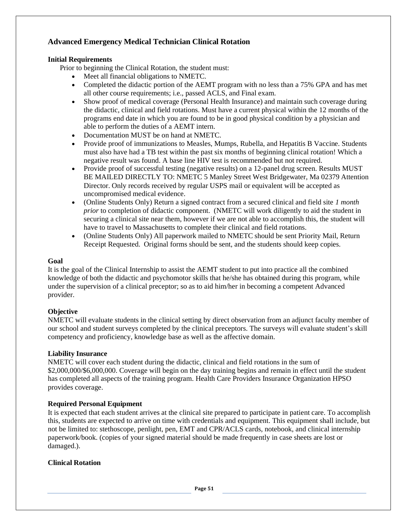### **Advanced Emergency Medical Technician Clinical Rotation**

#### **Initial Requirements**

Prior to beginning the Clinical Rotation, the student must:

- Meet all financial obligations to NMETC.
- Completed the didactic portion of the AEMT program with no less than a 75% GPA and has met all other course requirements; i.e., passed ACLS, and Final exam.
- Show proof of medical coverage (Personal Health Insurance) and maintain such coverage during the didactic, clinical and field rotations. Must have a current physical within the 12 months of the programs end date in which you are found to be in good physical condition by a physician and able to perform the duties of a AEMT intern.
- Documentation MUST be on hand at NMETC.
- Provide proof of immunizations to Measles, Mumps, Rubella, and Hepatitis B Vaccine. Students must also have had a TB test within the past six months of beginning clinical rotation! Which a negative result was found. A base line HIV test is recommended but not required.
- Provide proof of successful testing (negative results) on a 12-panel drug screen. Results MUST BE MAILED DIRECTLY TO: NMETC 5 Manley Street West Bridgewater, Ma 02379 Attention Director. Only records received by regular USPS mail or equivalent will be accepted as uncompromised medical evidence.
- (Online Students Only) Return a signed contract from a secured clinical and field site *1 month prior* to completion of didactic component. (NMETC will work diligently to aid the student in securing a clinical site near them, however if we are not able to accomplish this, the student will have to travel to Massachusetts to complete their clinical and field rotations.
- (Online Students Only) All paperwork mailed to NMETC should be sent Priority Mail, Return Receipt Requested. Original forms should be sent, and the students should keep copies.

#### **Goal**

It is the goal of the Clinical Internship to assist the AEMT student to put into practice all the combined knowledge of both the didactic and psychomotor skills that he/she has obtained during this program, while under the supervision of a clinical preceptor; so as to aid him/her in becoming a competent Advanced provider.

#### **Objective**

NMETC will evaluate students in the clinical setting by direct observation from an adjunct faculty member of our school and student surveys completed by the clinical preceptors. The surveys will evaluate student's skill competency and proficiency, knowledge base as well as the affective domain.

#### **Liability Insurance**

NMETC will cover each student during the didactic, clinical and field rotations in the sum of \$2,000,000/\$6,000,000. Coverage will begin on the day training begins and remain in effect until the student has completed all aspects of the training program. Health Care Providers Insurance Organization HPSO provides coverage.

#### **Required Personal Equipment**

It is expected that each student arrives at the clinical site prepared to participate in patient care. To accomplish this, students are expected to arrive on time with credentials and equipment. This equipment shall include, but not be limited to: stethoscope, penlight, pen, EMT and CPR/ACLS cards, notebook, and clinical internship paperwork/book. (copies of your signed material should be made frequently in case sheets are lost or damaged.).

#### **Clinical Rotation**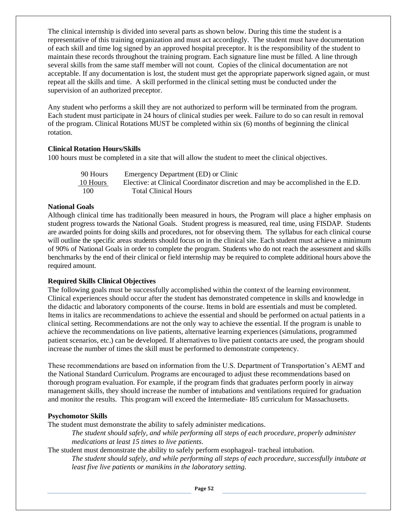The clinical internship is divided into several parts as shown below. During this time the student is a representative of this training organization and must act accordingly. The student must have documentation of each skill and time log signed by an approved hospital preceptor. It is the responsibility of the student to maintain these records throughout the training program. Each signature line must be filled. A line through several skills from the same staff member will not count. Copies of the clinical documentation are not acceptable. If any documentation is lost, the student must get the appropriate paperwork signed again, or must repeat all the skills and time. A skill performed in the clinical setting must be conducted under the supervision of an authorized preceptor.

Any student who performs a skill they are not authorized to perform will be terminated from the program. Each student must participate in 24 hours of clinical studies per week. Failure to do so can result in removal of the program. Clinical Rotations MUST be completed within six (6) months of beginning the clinical rotation.

#### **Clinical Rotation Hours/Skills**

100 hours must be completed in a site that will allow the student to meet the clinical objectives.

| 90 Hours | Emergency Department (ED) or Clinic                                              |
|----------|----------------------------------------------------------------------------------|
| 10 Hours | Elective: at Clinical Coordinator discretion and may be accomplished in the E.D. |
| 100      | <b>Total Clinical Hours</b>                                                      |

#### **National Goals**

Although clinical time has traditionally been measured in hours, the Program will place a higher emphasis on student progress towards the National Goals. Student progress is measured, real time, using FISDAP. Students are awarded points for doing skills and procedures, not for observing them. The syllabus for each clinical course will outline the specific areas students should focus on in the clinical site. Each student must achieve a minimum of 90% of National Goals in order to complete the program. Students who do not reach the assessment and skills benchmarks by the end of their clinical or field internship may be required to complete additional hours above the required amount.

#### **Required Skills Clinical Objectives**

The following goals must be successfully accomplished within the context of the learning environment. Clinical experiences should occur after the student has demonstrated competence in skills and knowledge in the didactic and laboratory components of the course. Items in bold are essentials and must be completed. Items in italics are recommendations to achieve the essential and should be performed on actual patients in a clinical setting. Recommendations are not the only way to achieve the essential. If the program is unable to achieve the recommendations on live patients, alternative learning experiences (simulations, programmed patient scenarios, etc.) can be developed. If alternatives to live patient contacts are used, the program should increase the number of times the skill must be performed to demonstrate competency.

These recommendations are based on information from the U.S. Department of Transportation's AEMT and the National Standard Curriculum. Programs are encouraged to adjust these recommendations based on thorough program evaluation. For example, if the program finds that graduates perform poorly in airway management skills, they should increase the number of intubations and ventilations required for graduation and monitor the results. This program will exceed the Intermediate- I85 curriculum for Massachusetts.

#### **Psychomotor Skills**

The student must demonstrate the ability to safely administer medications.

*The student should safely, and while performing all steps of each procedure, properly administer medications at least 15 times to live patients*.

The student must demonstrate the ability to safely perform esophageal- tracheal intubation.

*The student should safely, and while performing all steps of each procedure, successfully intubate at least five live patients or manikins in the laboratory setting.*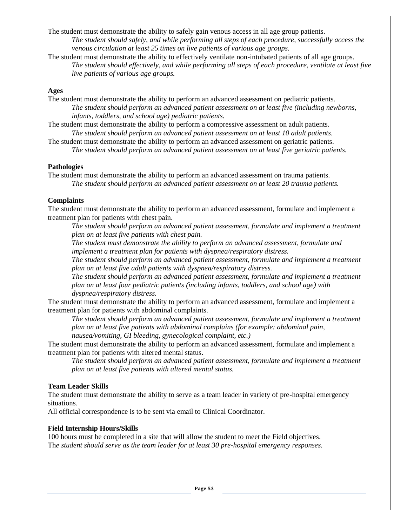The student must demonstrate the ability to safely gain venous access in all age group patients. *The student should safely, and while performing all steps of each procedure, successfully access the venous circulation at least 25 times on live patients of various age groups.* 

The student must demonstrate the ability to effectively ventilate non-intubated patients of all age groups. *The student should effectively, and while performing all steps of each procedure, ventilate at least five live patients of various age groups.* 

#### **Ages**

The student must demonstrate the ability to perform an advanced assessment on pediatric patients. *The student should perform an advanced patient assessment on at least five (including newborns, infants, toddlers, and school age) pediatric patients.* 

The student must demonstrate the ability to perform a compressive assessment on adult patients. *The student should perform an advanced patient assessment on at least 10 adult patients.* 

The student must demonstrate the ability to perform an advanced assessment on geriatric patients. *The student should perform an advanced patient assessment on at least five geriatric patients.* 

#### **Pathologies**

The student must demonstrate the ability to perform an advanced assessment on trauma patients. *The student should perform an advanced patient assessment on at least 20 trauma patients.* 

#### **Complaints**

The student must demonstrate the ability to perform an advanced assessment, formulate and implement a treatment plan for patients with chest pain.

*The student should perform an advanced patient assessment, formulate and implement a treatment plan on at least five patients with chest pain.* 

*The student must demonstrate the ability to perform an advanced assessment, formulate and implement a treatment plan for patients with dyspnea/respiratory distress.* 

*The student should perform an advanced patient assessment, formulate and implement a treatment plan on at least five adult patients with dyspnea/respiratory distress.* 

*The student should perform an advanced patient assessment, formulate and implement a treatment plan on at least four pediatric patients (including infants, toddlers, and school age) with dyspnea/respiratory distress.* 

The student must demonstrate the ability to perform an advanced assessment, formulate and implement a treatment plan for patients with abdominal complaints.

*The student should perform an advanced patient assessment, formulate and implement a treatment plan on at least five patients with abdominal complains (for example: abdominal pain, nausea/vomiting, GI bleeding, gynecological complaint, etc.)* 

The student must demonstrate the ability to perform an advanced assessment, formulate and implement a treatment plan for patients with altered mental status.

*The student should perform an advanced patient assessment, formulate and implement a treatment plan on at least five patients with altered mental status.* 

#### **Team Leader Skills**

The student must demonstrate the ability to serve as a team leader in variety of pre-hospital emergency situations.

All official correspondence is to be sent via email to Clinical Coordinator.

#### **Field Internship Hours/Skills**

100 hours must be completed in a site that will allow the student to meet the Field objectives. Th*e student should serve as the team leader for at least 30 pre-hospital emergency responses.*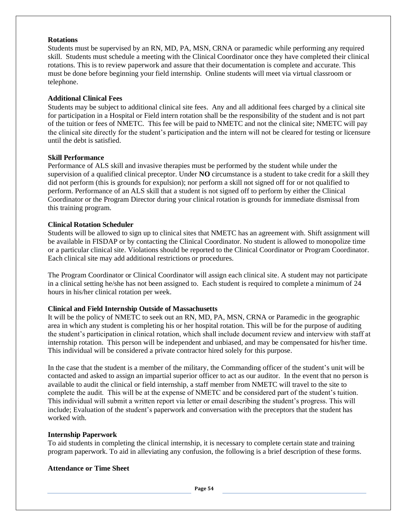#### **Rotations**

Students must be supervised by an RN, MD, PA, MSN, CRNA or paramedic while performing any required skill. Students must schedule a meeting with the Clinical Coordinator once they have completed their clinical rotations. This is to review paperwork and assure that their documentation is complete and accurate. This must be done before beginning your field internship. Online students will meet via virtual classroom or telephone.

#### **Additional Clinical Fees**

Students may be subject to additional clinical site fees. Any and all additional fees charged by a clinical site for participation in a Hospital or Field intern rotation shall be the responsibility of the student and is not part of the tuition or fees of NMETC. This fee will be paid to NMETC and not the clinical site; NMETC will pay the clinical site directly for the student's participation and the intern will not be cleared for testing or licensure until the debt is satisfied.

#### **Skill Performance**

Performance of ALS skill and invasive therapies must be performed by the student while under the supervision of a qualified clinical preceptor. Under **NO** circumstance is a student to take credit for a skill they did not perform (this is grounds for expulsion); nor perform a skill not signed off for or not qualified to perform. Performance of an ALS skill that a student is not signed off to perform by either the Clinical Coordinator or the Program Director during your clinical rotation is grounds for immediate dismissal from this training program.

#### **Clinical Rotation Scheduler**

Students will be allowed to sign up to clinical sites that NMETC has an agreement with. Shift assignment will be available in FISDAP or by contacting the Clinical Coordinator. No student is allowed to monopolize time or a particular clinical site. Violations should be reported to the Clinical Coordinator or Program Coordinator. Each clinical site may add additional restrictions or procedures.

The Program Coordinator or Clinical Coordinator will assign each clinical site. A student may not participate in a clinical setting he/she has not been assigned to. Each student is required to complete a minimum of 24 hours in his/her clinical rotation per week.

#### **Clinical and Field Internship Outside of Massachusetts**

It will be the policy of NMETC to seek out an RN, MD, PA, MSN, CRNA or Paramedic in the geographic area in which any student is completing his or her hospital rotation. This will be for the purpose of auditing the student's participation in clinical rotation, which shall include document review and interview with staff at internship rotation. This person will be independent and unbiased, and may be compensated for his/her time. This individual will be considered a private contractor hired solely for this purpose.

In the case that the student is a member of the military, the Commanding officer of the student's unit will be contacted and asked to assign an impartial superior officer to act as our auditor. In the event that no person is available to audit the clinical or field internship, a staff member from NMETC will travel to the site to complete the audit. This will be at the expense of NMETC and be considered part of the student's tuition. This individual will submit a written report via letter or email describing the student's progress. This will include; Evaluation of the student's paperwork and conversation with the preceptors that the student has worked with.

#### **Internship Paperwork**

To aid students in completing the clinical internship, it is necessary to complete certain state and training program paperwork. To aid in alleviating any confusion, the following is a brief description of these forms.

#### **Attendance or Time Sheet**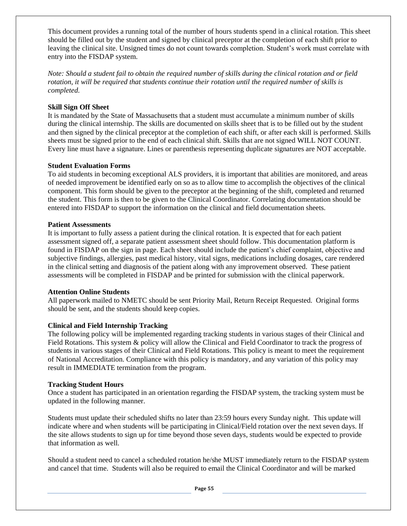This document provides a running total of the number of hours students spend in a clinical rotation. This sheet should be filled out by the student and signed by clinical preceptor at the completion of each shift prior to leaving the clinical site. Unsigned times do not count towards completion. Student's work must correlate with entry into the FISDAP system.

*Note: Should a student fail to obtain the required number of skills during the clinical rotation and or field rotation, it will be required that students continue their rotation until the required number of skills is completed.* 

#### **Skill Sign Off Sheet**

It is mandated by the State of Massachusetts that a student must accumulate a minimum number of skills during the clinical internship. The skills are documented on skills sheet that is to be filled out by the student and then signed by the clinical preceptor at the completion of each shift, or after each skill is performed. Skills sheets must be signed prior to the end of each clinical shift. Skills that are not signed WILL NOT COUNT. Every line must have a signature. Lines or parenthesis representing duplicate signatures are NOT acceptable.

#### **Student Evaluation Forms**

To aid students in becoming exceptional ALS providers, it is important that abilities are monitored, and areas of needed improvement be identified early on so as to allow time to accomplish the objectives of the clinical component. This form should be given to the preceptor at the beginning of the shift, completed and returned the student. This form is then to be given to the Clinical Coordinator. Correlating documentation should be entered into FISDAP to support the information on the clinical and field documentation sheets.

#### **Patient Assessments**

It is important to fully assess a patient during the clinical rotation. It is expected that for each patient assessment signed off, a separate patient assessment sheet should follow. This documentation platform is found in FISDAP on the sign in page. Each sheet should include the patient's chief complaint, objective and subjective findings, allergies, past medical history, vital signs, medications including dosages, care rendered in the clinical setting and diagnosis of the patient along with any improvement observed. These patient assessments will be completed in FISDAP and be printed for submission with the clinical paperwork.

#### **Attention Online Students**

All paperwork mailed to NMETC should be sent Priority Mail, Return Receipt Requested. Original forms should be sent, and the students should keep copies.

#### **Clinical and Field Internship Tracking**

The following policy will be implemented regarding tracking students in various stages of their Clinical and Field Rotations. This system & policy will allow the Clinical and Field Coordinator to track the progress of students in various stages of their Clinical and Field Rotations. This policy is meant to meet the requirement of National Accreditation. Compliance with this policy is mandatory, and any variation of this policy may result in IMMEDIATE termination from the program.

#### **Tracking Student Hours**

Once a student has participated in an orientation regarding the FISDAP system, the tracking system must be updated in the following manner.

Students must update their scheduled shifts no later than 23:59 hours every Sunday night. This update will indicate where and when students will be participating in Clinical/Field rotation over the next seven days. If the site allows students to sign up for time beyond those seven days, students would be expected to provide that information as well.

Should a student need to cancel a scheduled rotation he/she MUST immediately return to the FISDAP system and cancel that time. Students will also be required to email the Clinical Coordinator and will be marked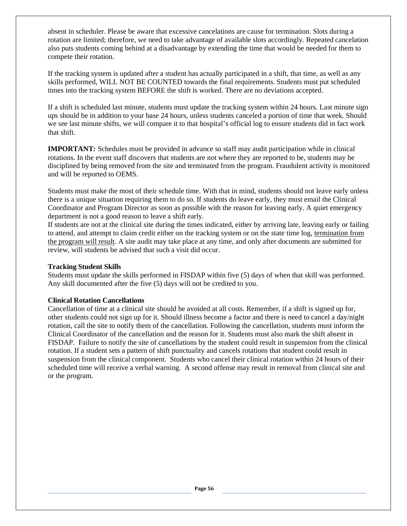absent in scheduler. Please be aware that excessive cancelations are cause for termination. Slots during a rotation are limited; therefore, we need to take advantage of available slots accordingly. Repeated cancelation also puts students coming behind at a disadvantage by extending the time that would be needed for them to compete their rotation.

If the tracking system is updated after a student has actually participated in a shift, that time, as well as any skills performed, WILL NOT BE COUNTED towards the final requirements. Students must put scheduled times into the tracking system BEFORE the shift is worked. There are no deviations accepted.

If a shift is scheduled last minute, students must update the tracking system within 24 hours. Last minute sign ups should be in addition to your base 24 hours, unless students canceled a portion of time that week. Should we see last minute shifts, we will compare it to that hospital's official log to ensure students did in fact work that shift.

**IMPORTANT***:* Schedules must be provided in advance so staff may audit participation while in clinical rotations. In the event staff discovers that students are not where they are reported to be, students may be disciplined by being removed from the site and terminated from the program. Fraudulent activity is monitored and will be reported to OEMS.

Students must make the most of their schedule time. With that in mind, students should not leave early unless there is a unique situation requiring them to do so. If students do leave early, they must email the Clinical Coordinator and Program Director as soon as possible with the reason for leaving early. A quiet emergency department is not a good reason to leave a shift early.

If students are not at the clinical site during the times indicated, either by arriving late, leaving early or failing to attend, and attempt to claim credit either on the tracking system or on the state time log, termination from the program will result. A site audit may take place at any time, and only after documents are submitted for review, will students be advised that such a visit did occur.

#### **Tracking Student Skills**

Students must update the skills performed in FISDAP within five (5) days of when that skill was performed. Any skill documented after the five (5) days will not be credited to you.

#### **Clinical Rotation Cancellations**

Cancellation of time at a clinical site should be avoided at all costs. Remember, if a shift is signed up for, other students could not sign up for it. Should illness become a factor and there is need to cancel a day/night rotation, call the site to notify them of the cancellation. Following the cancellation, students must inform the Clinical Coordinator of the cancellation and the reason for it. Students must also mark the shift absent in FISDAP. Failure to notify the site of cancellations by the student could result in suspension from the clinical rotation. If a student sets a pattern of shift punctuality and cancels rotations that student could result in suspension from the clinical component. Students who cancel their clinical rotation within 24 hours of their scheduled time will receive a verbal warning. A second offense may result in removal from clinical site and or the program.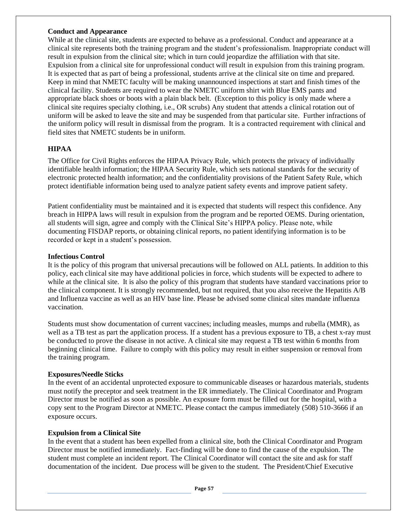#### **Conduct and Appearance**

While at the clinical site, students are expected to behave as a professional. Conduct and appearance at a clinical site represents both the training program and the student's professionalism. Inappropriate conduct will result in expulsion from the clinical site; which in turn could jeopardize the affiliation with that site. Expulsion from a clinical site for unprofessional conduct will result in expulsion from this training program. It is expected that as part of being a professional, students arrive at the clinical site on time and prepared. Keep in mind that NMETC faculty will be making unannounced inspections at start and finish times of the clinical facility. Students are required to wear the NMETC uniform shirt with Blue EMS pants and appropriate black shoes or boots with a plain black belt. (Exception to this policy is only made where a clinical site requires specialty clothing, i.e., OR scrubs) Any student that attends a clinical rotation out of uniform will be asked to leave the site and may be suspended from that particular site. Further infractions of the uniform policy will result in dismissal from the program. It is a contracted requirement with clinical and field sites that NMETC students be in uniform.

#### **HIPAA**

The Office for Civil Rights enforces the HIPAA Privacy Rule, which protects the privacy of individually identifiable health information; the HIPAA Security Rule, which sets national standards for the security of electronic protected health information; and the confidentiality provisions of the Patient Safety Rule, which protect identifiable information being used to analyze patient safety events and improve patient safety.

Patient confidentiality must be maintained and it is expected that students will respect this confidence. Any breach in HIPPA laws will result in expulsion from the program and be reported OEMS. During orientation, all students will sign, agree and comply with the Clinical Site's HIPPA policy. Please note, while documenting FISDAP reports, or obtaining clinical reports, no patient identifying information is to be recorded or kept in a student's possession.

#### **Infectious Control**

It is the policy of this program that universal precautions will be followed on ALL patients. In addition to this policy, each clinical site may have additional policies in force, which students will be expected to adhere to while at the clinical site. It is also the policy of this program that students have standard vaccinations prior to the clinical component. It is strongly recommended, but not required, that you also receive the Hepatitis A/B and Influenza vaccine as well as an HIV base line. Please be advised some clinical sites mandate influenza vaccination.

Students must show documentation of current vaccines; including measles, mumps and rubella (MMR), as well as a TB test as part the application process. If a student has a previous exposure to TB, a chest x-ray must be conducted to prove the disease in not active. A clinical site may request a TB test within 6 months from beginning clinical time. Failure to comply with this policy may result in either suspension or removal from the training program.

#### **Exposures/Needle Sticks**

In the event of an accidental unprotected exposure to communicable diseases or hazardous materials, students must notify the preceptor and seek treatment in the ER immediately. The Clinical Coordinator and Program Director must be notified as soon as possible. An exposure form must be filled out for the hospital, with a copy sent to the Program Director at NMETC. Please contact the campus immediately (508) 510-3666 if an exposure occurs.

#### **Expulsion from a Clinical Site**

In the event that a student has been expelled from a clinical site, both the Clinical Coordinator and Program Director must be notified immediately. Fact-finding will be done to find the cause of the expulsion. The student must complete an incident report. The Clinical Coordinator will contact the site and ask for staff documentation of the incident. Due process will be given to the student. The President/Chief Executive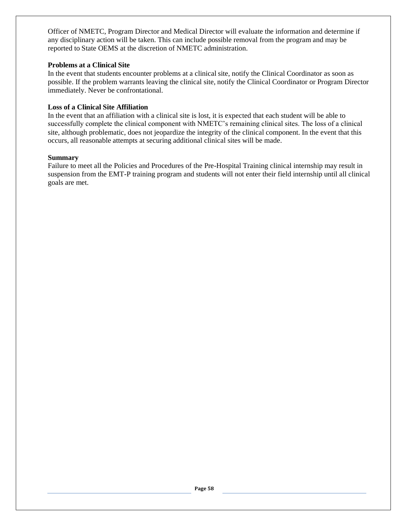Officer of NMETC, Program Director and Medical Director will evaluate the information and determine if any disciplinary action will be taken. This can include possible removal from the program and may be reported to State OEMS at the discretion of NMETC administration.

#### **Problems at a Clinical Site**

In the event that students encounter problems at a clinical site, notify the Clinical Coordinator as soon as possible. If the problem warrants leaving the clinical site, notify the Clinical Coordinator or Program Director immediately. Never be confrontational.

#### **Loss of a Clinical Site Affiliation**

In the event that an affiliation with a clinical site is lost, it is expected that each student will be able to successfully complete the clinical component with NMETC's remaining clinical sites. The loss of a clinical site, although problematic, does not jeopardize the integrity of the clinical component. In the event that this occurs, all reasonable attempts at securing additional clinical sites will be made.

#### **Summary**

Failure to meet all the Policies and Procedures of the Pre-Hospital Training clinical internship may result in suspension from the EMT-P training program and students will not enter their field internship until all clinical goals are met.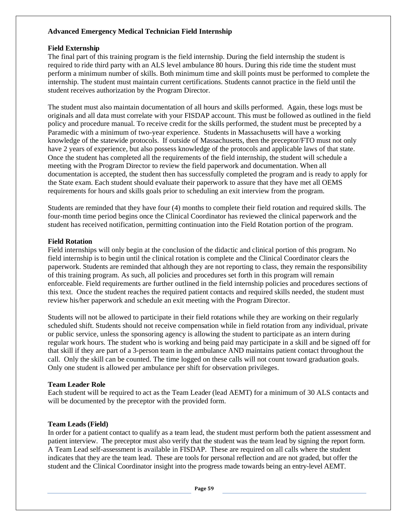#### **Advanced Emergency Medical Technician Field Internship**

#### **Field Externship**

The final part of this training program is the field internship. During the field internship the student is required to ride third party with an ALS level ambulance 80 hours. During this ride time the student must perform a minimum number of skills. Both minimum time and skill points must be performed to complete the internship. The student must maintain current certifications. Students cannot practice in the field until the student receives authorization by the Program Director.

The student must also maintain documentation of all hours and skills performed. Again, these logs must be originals and all data must correlate with your FISDAP account. This must be followed as outlined in the field policy and procedure manual. To receive credit for the skills performed, the student must be precepted by a Paramedic with a minimum of two-year experience. Students in Massachusetts will have a working knowledge of the statewide protocols. If outside of Massachusetts, then the preceptor/FTO must not only have 2 years of experience, but also possess knowledge of the protocols and applicable laws of that state. Once the student has completed all the requirements of the field internship, the student will schedule a meeting with the Program Director to review the field paperwork and documentation. When all documentation is accepted, the student then has successfully completed the program and is ready to apply for the State exam. Each student should evaluate their paperwork to assure that they have met all OEMS requirements for hours and skills goals prior to scheduling an exit interview from the program.

Students are reminded that they have four (4) months to complete their field rotation and required skills. The four-month time period begins once the Clinical Coordinator has reviewed the clinical paperwork and the student has received notification, permitting continuation into the Field Rotation portion of the program.

#### **Field Rotation**

Field internships will only begin at the conclusion of the didactic and clinical portion of this program. No field internship is to begin until the clinical rotation is complete and the Clinical Coordinator clears the paperwork. Students are reminded that although they are not reporting to class, they remain the responsibility of this training program. As such, all policies and procedures set forth in this program will remain enforceable. Field requirements are further outlined in the field internship policies and procedures sections of this text. Once the student reaches the required patient contacts and required skills needed, the student must review his/her paperwork and schedule an exit meeting with the Program Director.

Students will not be allowed to participate in their field rotations while they are working on their regularly scheduled shift. Students should not receive compensation while in field rotation from any individual, private or public service, unless the sponsoring agency is allowing the student to participate as an intern during regular work hours. The student who is working and being paid may participate in a skill and be signed off for that skill if they are part of a 3-person team in the ambulance AND maintains patient contact throughout the call. Only the skill can be counted. The time logged on these calls will not count toward graduation goals. Only one student is allowed per ambulance per shift for observation privileges.

#### **Team Leader Role**

Each student will be required to act as the Team Leader (lead AEMT) for a minimum of 30 ALS contacts and will be documented by the preceptor with the provided form.

#### **Team Leads (Field)**

In order for a patient contact to qualify as a team lead, the student must perform both the patient assessment and patient interview. The preceptor must also verify that the student was the team lead by signing the report form. A Team Lead self-assessment is available in FISDAP. These are required on all calls where the student indicates that they are the team lead. These are tools for personal reflection and are not graded, but offer the student and the Clinical Coordinator insight into the progress made towards being an entry-level AEMT.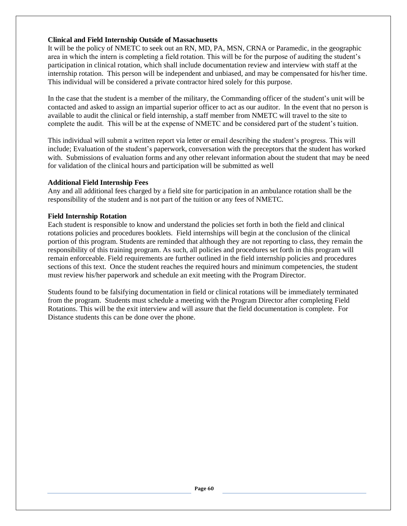#### **Clinical and Field Internship Outside of Massachusetts**

It will be the policy of NMETC to seek out an RN, MD, PA, MSN, CRNA or Paramedic, in the geographic area in which the intern is completing a field rotation. This will be for the purpose of auditing the student's participation in clinical rotation, which shall include documentation review and interview with staff at the internship rotation. This person will be independent and unbiased, and may be compensated for his/her time. This individual will be considered a private contractor hired solely for this purpose.

In the case that the student is a member of the military, the Commanding officer of the student's unit will be contacted and asked to assign an impartial superior officer to act as our auditor. In the event that no person is available to audit the clinical or field internship, a staff member from NMETC will travel to the site to complete the audit. This will be at the expense of NMETC and be considered part of the student's tuition.

This individual will submit a written report via letter or email describing the student's progress. This will include; Evaluation of the student's paperwork, conversation with the preceptors that the student has worked with. Submissions of evaluation forms and any other relevant information about the student that may be need for validation of the clinical hours and participation will be submitted as well

#### **Additional Field Internship Fees**

Any and all additional fees charged by a field site for participation in an ambulance rotation shall be the responsibility of the student and is not part of the tuition or any fees of NMETC.

#### **Field Internship Rotation**

Each student is responsible to know and understand the policies set forth in both the field and clinical rotations policies and procedures booklets. Field internships will begin at the conclusion of the clinical portion of this program. Students are reminded that although they are not reporting to class, they remain the responsibility of this training program. As such, all policies and procedures set forth in this program will remain enforceable. Field requirements are further outlined in the field internship policies and procedures sections of this text. Once the student reaches the required hours and minimum competencies, the student must review his/her paperwork and schedule an exit meeting with the Program Director.

Students found to be falsifying documentation in field or clinical rotations will be immediately terminated from the program. Students must schedule a meeting with the Program Director after completing Field Rotations. This will be the exit interview and will assure that the field documentation is complete. For Distance students this can be done over the phone.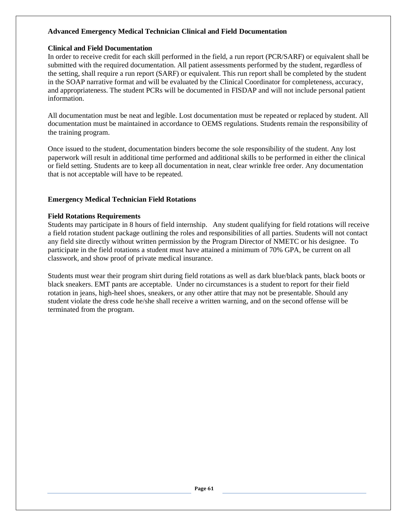#### **Advanced Emergency Medical Technician Clinical and Field Documentation**

#### **Clinical and Field Documentation**

In order to receive credit for each skill performed in the field, a run report (PCR/SARF) or equivalent shall be submitted with the required documentation. All patient assessments performed by the student, regardless of the setting, shall require a run report (SARF) or equivalent. This run report shall be completed by the student in the SOAP narrative format and will be evaluated by the Clinical Coordinator for completeness, accuracy, and appropriateness. The student PCRs will be documented in FISDAP and will not include personal patient information.

All documentation must be neat and legible. Lost documentation must be repeated or replaced by student. All documentation must be maintained in accordance to OEMS regulations. Students remain the responsibility of the training program.

Once issued to the student, documentation binders become the sole responsibility of the student. Any lost paperwork will result in additional time performed and additional skills to be performed in either the clinical or field setting. Students are to keep all documentation in neat, clear wrinkle free order. Any documentation that is not acceptable will have to be repeated.

#### **Emergency Medical Technician Field Rotations**

#### **Field Rotations Requirements**

Students may participate in 8 hours of field internship. Any student qualifying for field rotations will receive a field rotation student package outlining the roles and responsibilities of all parties. Students will not contact any field site directly without written permission by the Program Director of NMETC or his designee. To participate in the field rotations a student must have attained a minimum of 70% GPA, be current on all classwork, and show proof of private medical insurance.

Students must wear their program shirt during field rotations as well as dark blue/black pants, black boots or black sneakers. EMT pants are acceptable. Under no circumstances is a student to report for their field rotation in jeans, high-heel shoes, sneakers, or any other attire that may not be presentable. Should any student violate the dress code he/she shall receive a written warning, and on the second offense will be terminated from the program.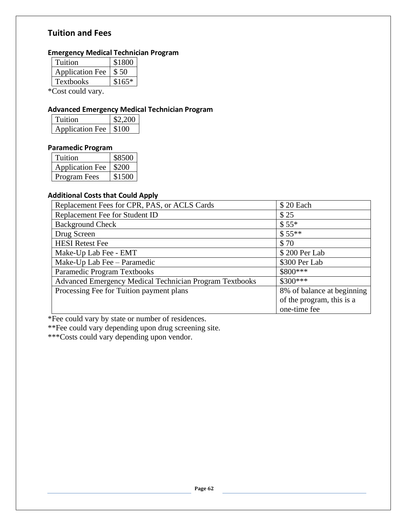# **Tuition and Fees**

# **Emergency Medical Technician Program**

| \$1800  |
|---------|
| \$50    |
| $$165*$ |
|         |

\*Cost could vary.

## **Advanced Emergency Medical Technician Program**

| <b>Fuition</b>          | 32.200 |  |
|-------------------------|--------|--|
| Application Fee   \$100 |        |  |

#### **Paramedic Program**

| Tuition                | \$8500 |
|------------------------|--------|
| <b>Application Fee</b> | \$200  |
| <b>Program Fees</b>    | \$1500 |

#### **Additional Costs that Could Apply**

| Replacement Fees for CPR, PAS, or ACLS Cards            | \$20 Each                  |
|---------------------------------------------------------|----------------------------|
| Replacement Fee for Student ID                          | \$25                       |
| <b>Background Check</b>                                 | $$55*$                     |
| Drug Screen                                             | $$55**$                    |
| <b>HESI</b> Retest Fee                                  | \$70                       |
| Make-Up Lab Fee - EMT                                   | \$200 Per Lab              |
| Make-Up Lab Fee - Paramedic                             | \$300 Per Lab              |
| Paramedic Program Textbooks                             | \$800***                   |
| Advanced Emergency Medical Technician Program Textbooks | $$300***$                  |
| Processing Fee for Tuition payment plans                | 8% of balance at beginning |
|                                                         | of the program, this is a  |
|                                                         | one-time fee               |

\*Fee could vary by state or number of residences.

\*\*Fee could vary depending upon drug screening site.

\*\*\*Costs could vary depending upon vendor.